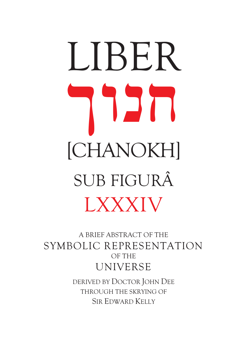# LIBER 195 n [CHANOKH] SUB FIGURÂ LXXXIV

A BRIEF ABSTRACT OF THE SYMBOLIC REPRESENTATION OF THE UNIVERSE

> DERIVED BY DOCTOR JOHN DEE THROUGH THE SKRYING OF SIR EDWARD KELLY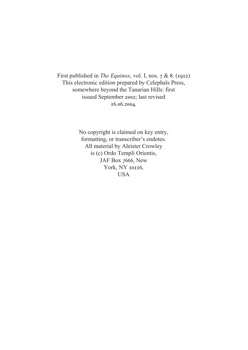First published in *The Equinox*, vol. I, nos. 7 & 8. (1912) This electronic edition prepared by Celephaïs Press, somewhere beyond the Tanarian Hills: first issued September 2002; last revised 16.06.2004.

> No copyright is claimed on key entry, formatting, or transcriber's endotes. All material by Aleister Crowley is (c) Ordo Templi Orientis, JAF Box 7666, New York, NY 10116, USA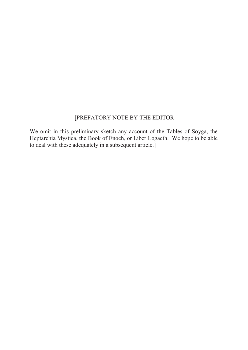# [PREFATORY NOTE BY THE EDITOR

We omit in this preliminary sketch any account of the Tables of Soyga, the Heptarchia Mystica, the Book of Enoch, or Liber Logaeth. We hope to be able to deal with these adequately in a subsequent article.]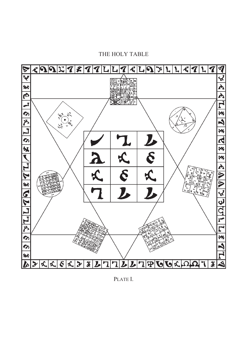THE HOLY TABLE



PLATE I.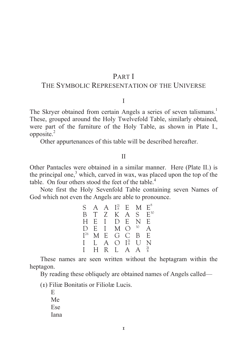# PART I

# THE SYMBOLIC REPRESENTATION OF THE UNIVERSE

#### I

The Skryer obtained from certain Angels a series of seven talismans.<sup>1</sup> These, grouped around the Holy Twelvefold Table, similarly obtained, were part of the furniture of the Holy Table, as shown in Plate I., opposite.<sup>2</sup>

Other appurtenances of this table will be described hereafter.

#### II

Other Pantacles were obtained in a similar manner. Here (Plate II.) is the principal one, $3$  which, carved in wax, was placed upon the top of the table. On four others stood the feet of the table.<sup>4</sup>

 Note first the Holy Sevenfold Table containing seven Names of God which not even the Angels are able to pronounce.

|  |  | S A A $I_8^2$ E M $E_8^8$      |  |
|--|--|--------------------------------|--|
|  |  | B T Z K A S $E^{30}$           |  |
|  |  | H E I D E N E                  |  |
|  |  | D E I M O <sup>30</sup> A      |  |
|  |  | $\rm{I}^{\rm{26}}$ M E G C B E |  |
|  |  | I L A O I <sup>21</sup> U N    |  |
|  |  | I H R L A A $_8^2$             |  |

These names are seen written without the heptagram within the heptagon.

By reading these obliquely are obtained names of Angels called—

 $(1)$  Filiae Bonitatis or Filiolæ Lucis.

E Me Ese Iana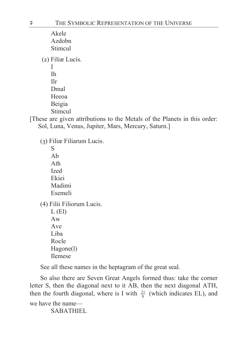Akele Azdobn Stimcul

 $(z)$  Filiæ Lucis.

I Ih Ilr Dmal Heeoa Beigia Stimcul

[These are given attributions to the Metals of the Planets in this order: Sol, Luna, Venus, Jupiter, Mars, Mercury, Saturn.]

 $(3)$  Filiar Filiarum Lucis. S Ab Ath Ized Ekiei Madimi Esemeli (4) Filii Filiorum Lucis.  $L$  (El) Aw Ave Liba Rocle Hagone(l) Ilemese

See all these names in the heptagram of the great seal.

So also there are Seven Great Angels formed thus: take the corner letter S, then the diagonal next to it AB, then the next diagonal ATH, then the fourth diagonal, where is I with  $\frac{21}{8}$  (which indicates EL), and we have the name—

SABATHIEL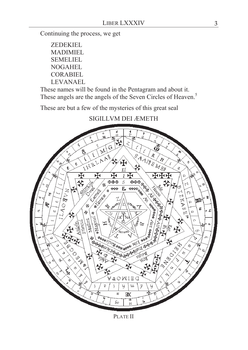Continuing the process, we get

ZEDEKIEL MADIMIEL SEMELIEL **NOGAHEL** CORABIEL LEVANAEL

These names will be found in the Pentagram and about it. These angels are the angels of the Seven Circles of Heaven.<sup>5</sup>

These are but a few of the mysteries of this great seal



PLATE II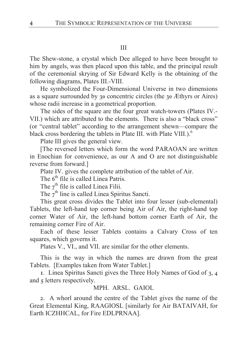## III

The Shew-stone, a crystal which Dee alleged to have been brought to him by angels, was then placed upon this table, and the principal result of the ceremonial skrying of Sir Edward Kelly is the obtaining of the following diagrams, Plates III.-VIII.

He symbolized the Four-Dimensional Universe in two dimensions as a square surrounded by 30 concentric circles (the 30 Æthyrs or Aires) whose radii increase in a geometrical proportion.

The sides of the square are the four great watch-towers (Plates IV.- VII.) which are attributed to the elements. There is also a "black cross" (or "central tablet" according to the arrangement shewn—compare the black cross bordering the tablets in Plate III. with Plate VIII.).<sup>6</sup>

Plate III gives the general view.

[The reversed letters which form the word PARAOAN are written in Enochian for convenience, as our A and O are not distinguishable reverse from forward.]

Plate IV. gives the complete attribution of the tablet of Air.

The 6<sup>th</sup> file is called Linea Patris.

The  $7<sup>th</sup>$  file is called Linea Filii.

The  $7<sup>th</sup>$  line is called Linea Spiritus Sancti.

This great cross divides the Tablet into four lesser (sub-elemental) Tablets, the left-hand top corner being Air of Air, the right-hand top corner Water of Air, the left-hand bottom corner Earth of Air, the remaining corner Fire of Air.

Each of these lesser Tablets contains a Calvary Cross of ten squares, which governs it.

Plates V., VI., and VII. are similar for the other elements.

This is the way in which the names are drawn from the great Tablets. [Examples taken from Water Tablet.]

1. Linea Spiritus Sancti gives the Three Holy Names of God of 3, 4 and 5 letters respectively.

#### MPH. ARSL. GAIOL

2. A whorl around the centre of the Tablet gives the name of the Great Elemental King, RAAGIOSL [similarly for Air BATAIVAH, for Earth ICZHHCAL, for Fire EDLPRNAA].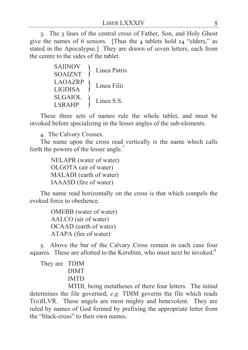3. The 3 lines of the central cross of Father, Son, and Holy Ghost give the names of 6 seniors. [Thus the 4 tablets hold  $24$  "elders," as stated in the Apocalypse.] They are drawn of seven letters, each from the centre to the sides of the tablet.

| <b>SAIINOV</b><br><b>SOAIZNT</b> | Linea Patris |
|----------------------------------|--------------|
| <b>LAOAZRP</b><br><b>LIGDISA</b> | Linea Filii  |
| <b>SLGAIOL</b><br><b>LSRAHP</b>  | Linea S.S.   |

These three sets of names rule the whole tablet, and must be invoked before specializing in the lesser angles of the sub-elements.

4. The Calvary Crosses.

The name upon the cross read vertically is the name which calls forth the powers of the lesser angle.<sup>7</sup>

> NELAPR (water of water) OLGOTA (air of water) MALADI (earth of water) IAAASD (fire of water)

The name read horizontally on the cross is that which compels the evoked force to obedience.

> OMEBB (water of water) AALCO (air of water) OCAAD (earth of water) ATAPA (fire of water)

5. Above the bar of the Calvary Cross remain in each case four squares. These are allotted to the Kerubim, who must next be invoked.<sup>8</sup>

They are TDIM DIMT IMTD

 MTDI, being metatheses of there four letters. The initial determines the file governed; *e.g.* TDIM governs the file which reads T(o)ILVR. These angels are most mighty and benevolent. They are ruled by names of God formed by prefixing the appropriate letter from the "black-cross" to their own names.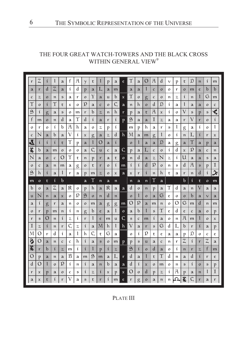| THE FOUR GREAT WATCH-TOWERS AND THE BLACK CROSS |
|-------------------------------------------------|
| WITHIN GENERAL VIEW <sup>9</sup>                |

| $\mathbf r$             | Z                              | í                 | l                  | $\mathbf{a}$  | f                               | $\overline{A}$            | $\gamma$       | t                                     | ı                       | $\mathbf{p}$  | a                         | $\mathfrak{e}$                         | $\mathbf T$    | $\mathbf{a}$ | O                 | $\overline{A}$             | d                         | $\mathsf{v}$   |                  | t                           | $\mathcal{D}$                 | $\mathfrak n$     | í             | m                  |
|-------------------------|--------------------------------|-------------------|--------------------|---------------|---------------------------------|---------------------------|----------------|---------------------------------------|-------------------------|---------------|---------------------------|----------------------------------------|----------------|--------------|-------------------|----------------------------|---------------------------|----------------|------------------|-----------------------------|-------------------------------|-------------------|---------------|--------------------|
| $\mathbf{a}$            | r                              | d                 | Ζ                  | $\mathbf{a}$  | $\mathbf{i}$                    | $\mathbf{d}$              | p              | $\mathbf{a}$                          | L                       | a             | m                         |                                        | $\mathbf{a}$   | $\mathbf{a}$ | L                 | $\mathbf C$                | $\mathbf o$               | $\mathbf{o}$   | p<br>r           | $\mathbf{o}$                | m                             | $\mathfrak{C}$    | $\mathbf b$   | $\mathbf b$        |
| $\mathbf c$             | $\mathsf{\Sigma}{}$            | $\mathbf{O}$      | $\mathfrak n$      | $\mathbf{s}$  | a                               | r                         | $\mathbf{o}$   | Y                                     | $\mathbf{a}$            | u             | $\mathbf b$               | $\mathbf x$                            | T              | $\mathbf{O}$ |                   | $\mathbf C$                | $\mathbf{O}$              | $\mathfrak n$  | Ζ                | <sup>i</sup>                | $\mathfrak n$                 | L                 | Ğ             | m                  |
| $\mathfrak T$           | $\mathbf{o}$                   | $\mathbf{i}$      | T                  | t             | $\mathbf x$                     | $\mathbf{o}$              | $\mathbf p$    | $\mathbf{a}$                          | $\mathbf{C}$            | $\mathbf{o}$  | $\mathsf{C}_{\mathsf{I}}$ | $\mathbf{a}$                           | $\mathfrak n$  | h            | g<br>$\mathbf{o}$ | d                          | $\mathbf D$               | í              | $\mathbf{a}$     | $\mathbf{l}$                | $\mathbf{a}$                  | a                 | $\mathbf{o}$  | $\mathbf c$        |
| $\beta$                 | $\mathbf{i}$                   |                   |                    | S             | $\mathbf o$                     | m                         | r              | $\mathfrak b$                         | $\simeq$                | $\mathfrak n$ | h                         | $\mathbf{r}$                           |                |              | t                 | $\boldsymbol{\mathcal{H}}$ | $\mathbf x$               | í              | O                | $\operatorname{\mathsf{V}}$ | ${\mathbb S}$                 |                   | ${\mathbb S}$ | $\epsilon$         |
| f                       |                                | g<br>$\mathbf{o}$ | $\mathbf{a}$       | $\mathbf d$   |                                 | $\boldsymbol{\mathsf{T}}$ | d              | $\mathbf{1}$                          |                         |               | í                         |                                        | p<br>$\beta$   | a            |                   | I                          |                           |                |                  |                             | $\mathsf{V}$                  | $\mathbf{p}$<br>r | $\mathbf{O}$  | í                  |
|                         | m                              |                   | $\mathfrak n$<br>í | b             | a<br>$\boldsymbol{\mathcal{H}}$ | h                         |                |                                       | $\mathbf{a}$            | r             | í                         | $\mathbf{p}$                           |                | $\mathbf{a}$ | $\mathbf{a}$<br>h |                            | $\mathsf{z}$              | a              | a<br>1           | r                           |                               | í                 |               | 1                  |
| $\mathbf o$             | r<br>$\boldsymbol{\mathrm{N}}$ | $\mathbf{o}$      | $\mathbf b$        |               | $\operatorname{\mathsf{V}}$     | í                         | a              | $\mathbf o$                           | z                       | p             | d                         | $\mathbf{h}$                           | m<br>M         | p            |                   | a                          | r<br>l                    | S              | <i>i</i>         | g                           | a<br>L                        | í                 | $\mathbf{o}$  |                    |
| $\mathbb C$<br>J        | $\mathbf{i}$                   | a<br>í            | $\mathbf{i}$       | $\mathbf{a}$  | $\boldsymbol{\mathrm{T}}$       |                           | $\mathbf x$    | g<br>l                                | $\mathbf a$<br>O        | $\mathsf{z}$  | i                         |                                        |                | a<br>L       | m                 | g                          | $\mathbf D$               | $\mathbf o$    |                  | $\mathfrak n$               | T                             |                   | r             | $\mathbf x$        |
| $\overline{\mathbf{x}}$ |                                |                   |                    | t             |                                 | p                         | $\mathbf{a}$   |                                       |                         | $\mathbf{a}$  |                           |                                        | $\mathbf{o}$   |              | $\mathbf{a}$      | $\mathbf{a}$               |                           | a<br>í         | g<br>$\mathbf d$ | $\mathbf{a}$                | $\operatorname{\mathfrak{D}}$ | $\mathbf{a}$      | p             | $\mathbf{a}$       |
| $\rm N$                 | b                              | $\mathbf{a}$      | m                  | $\mathbf{o}$  | $\mathbf{o}$<br>T               | O                         | $\mathbf{a}$   | $\mathsf{C}\!\!\!\backslash$          | u                       | $\mathbf c$   | $\mathbf{a}$              | $\mathsf{C}_{\!\scriptscriptstyle(\,}$ | $\mathbf{p}$   | $\mathbf{a}$ | $\Gamma$          | $\mathbf c$                | $\mathbf{o}$              |                |                  | $\mathbf x$<br>U            |                               | $\mathbf{a}$      | $\mathbf c$   | $\mathfrak n$      |
|                         | $\mathbf{a}$                   | $\mathbf{o}$      | $\mathbf c$        | Ő             |                                 | t                         | $\mathfrak n$  | p                                     | r                       | a             | t                         | $\mathbf{o}$                           | $\mathfrak n$  | $\mathbf d$  | a                 | $\mathsf{\Sigma}$          | $\boldsymbol{\mathrm{N}}$ | $\simeq$       | í                |                             | $\mathbf{a}$                  | $\mathbf{a}$      | S             | a                  |
| $\mathbf{o}$            | $\mathbf{C}$                   | $\mathbf{a}$      | $\mathfrak n$      | m             | a                               | g                         | o              | t                                     | r                       | $\mathbf{o}$  | í                         | m                                      | í              | $\mathbf{i}$ | d                 | $\mathbf p$                | $\mathbf{o}$              | $\mathfrak n$  | S                | d                           | $\overline{A}$                | ${\mathbb S}$     | p             | 1                  |
| $\beta$                 | h                              | $\mathbf{i}$      | $\mathbf{a}$       | L             | r                               | a                         | p              | m                                     | $\mathsf{z}$            | $\mathbf{o}$  | x                         | $\mathbf{a}$                           | $\mathbf x$    | r            | <i>i</i>          | $\mathfrak n$              | $\mathbf{h}$              | t              | a                | r                           | $\mathfrak n$                 | $\mathbf d$       | í             | $\mathbf{\hat{x}}$ |
|                         |                                |                   |                    |               |                                 |                           |                |                                       |                         |               |                           |                                        |                |              |                   |                            |                           |                |                  |                             |                               |                   |               |                    |
| m                       | $\mathbf{o}$                   | t                 | í                  | $\mathbf b$   |                                 |                           | $\mathbf{a}$   | $\mathbf T$                           | $\mathfrak n$           | $\mathbf{a}$  | $\mathfrak n$             |                                        | $\mathfrak n$  | $\mathbf{a}$ | $\mathfrak n$     | $\mathbf T$                | $\mathbf{a}$              |                |                  | $\mathbf b$                 | í                             | t                 | $\circ$       | m                  |
| $\mathbf b$             | $\mathbf{o}$                   | $\mathbf{a}$      | Ζ                  | $\mathbf{a}$  | $\rm R$                         | $\mathbf{o}$              | p              | $\mathsf{h}$                          | $\overline{\mathbf{a}}$ | $\rm R$       | $\mathbf{a}$              | $\mathbf{a}$                           | $\mathbf d$    | $\mathbf{o}$ | $\mathfrak n$     | $\mathfrak{p}$             | $\mathbf{a}$              | T              | d                | $\overline{a}$              | $\mathfrak n$                 | $\rm V$           | $\mathbf{a}$  | $\mathbf{a}$       |
| u                       | $\boldsymbol{\mathrm{N}}$      | $\mathfrak n$     | a                  | $\mathbf x$   | $\mathbf{o}$                    | $\mathbf p$               | $\mathfrak{S}$ | $\mathbf{o}$                          | $\mathfrak n$           | d             | $\mathfrak n$             |                                        | $\mathbf{o}$   | L            | $\mathbf{o}$      | a                          | G                         | $\mathfrak{e}$ | O                | $\mathbf{o}$                | $\mathfrak b$                 | $\mathbf{a}$      | $\mathbf v$   | $\mathbf{a}$       |
| $\mathbf{a}$            | $\mathbf{i}$                   | g                 | r                  | a             | $\mathfrak n$                   | O                         | $\mathbf{o}$   | m                                     | $\mathbf{a}$            | g             | g                         | m                                      | $\cup$         | $\mathbf p$  | $\mathbf{a}$      | m                          | $\mathfrak n$             | $\mathbf o$    | O                | G                           | m                             | d                 | $\mathfrak n$ | m                  |
| $\mathbf{o}$            | r                              | p                 | m                  | $\mathfrak n$ | í                               | $\mathfrak n$             | g              | $\mathbf b$                           | $\mathfrak{C}$          | a             | l                         | $\mathbf{o}$                           | a              | $\mathbf b$  | L                 | $\mathsf{s}$               | T                         | $\epsilon$     | d                | $\mathfrak{C}$              | $\mathbf{C}$                  | $\mathbf{a}$      | $\mathbf{O}$  | $\mathbf{p}$       |
| r                       | $\mathbf S$                    | O                 | $\mathfrak n$      | <sup>i</sup>  | $\mathsf{\Sigma}$               | í                         | r              | l                                     | $\mathfrak{C}$          | m             | u                         | $\mathsf{C}_{\!\scriptscriptstyle{1}}$ | ${\mathbb S}$  | $\mathbf{C}$ | m                 | í                          | $\mathbf{a}$              | $\mathbf{o}$   | $\mathfrak n$    | $\overline{A}$              | m                             | 1                 | $\mathbf{o}$  | $\mathbf x$        |
| 1                       | $\mathsf{\Sigma}$              | $\mathbf{i}$      | $\mathfrak n$      | r             | $\mathsf{C}$                    | z                         | í              | $\mathbf{a}$                          | M                       | $\mathsf{h}$  | $\mathbf{l}$              | $\mathbf{h}$                           | $\sqrt{}$      | $\mathbf{a}$ | r                 | $\mathbf S$                | Ğ                         | d              | L                | $\mathbf b$                 | r                             | $\mathbf{i}$      | a             | $\mathbf{p}$       |
| M                       | O                              | r                 | d                  | í             | a                               | 1                         | h              | $\mathsf{C}\!\!\!\rule{0.3mm}{2.7mm}$ | t                       | G             | a                         |                                        | $\mathbf o$    | í            | $\mathbf p$       | t                          | $\mathfrak{e}$            | a              | a                | p                           | D                             | $\mathbf{o}$      | $\mathbf c$   | $\mathfrak{e}$     |
| 3                       | O                              | $\mathbf{a}$      | $\mathfrak n$      | $\mathbf c$   | $\mathbf{C}$                    | $\boldsymbol{h}$          | i              | $\mathbf{a}$                          | $\mathbf s$             | $\mathbf{o}$  | m                         | p                                      | p              | S            | u                 | $\mathbf{a}$               | $\mathbf{C}$              | n              | r                | Ζ                           | i                             | r                 | Ζ             | $\mathbf{a}$       |
| $\overline{\mathbf{x}}$ | r                              | $\mathbf b$       | í                  | $\simeq$      | m                               | í                         | í              | ı                                     | p                       | i             | $\mathsf{z}$              |                                        | $\mathfrak{S}$ | í            | $\mathbf{o}$      | d                          | $\mathbf{a}$              | $\mathbf{O}$   | í                | $\mathbf n$                 | r                             | $\mathsf{\Sigma}$ | f             | m                  |
| $\overline{O}$          | p                              | $\mathbf{a}$      | $\mathfrak n$      | a             | $\mathbf B$                     | a                         | m              | $\mathfrak S$                         | m                       | a             | L                         | $\mathbf{r}$                           | d              | a            | l                 | t                          | T                         | $\mathbf d$    | n                | a                           | d                             | <i>i</i>          | r             | $\mathfrak{C}$     |
| d                       | $\overline{O}$                 | l                 | $\mathbf{o}$       | $\mathbf p$   | í                               | $\mathfrak n$             | í              | $\mathbf{a}$                          | $\mathfrak n$           | $\mathbf b$   | $\mathbf{a}$              | $\mathbf{a}$                           | d              | í            | $\mathbf x$       | $\mathbf{o}$               | m                         | $\mathbf{o}$   | n                | $\mathbf{s}$                | $\mathbf{i}$                  | $\mathbf{o}$      | $\mathbf{s}$  | p                  |
| r                       | $\mathbf x$                    | p                 | $\mathbf{a}$       | $\mathbf{o}$  | $\mathbf{C}$                    | S                         | í              | $\mathsf{\Sigma}$                     | $\mathbf{1}$            | $\mathbf x$   | p                         | $\mathbf x$                            | O              | $\mathbf{o}$ | $\mathbf d$       | $\mathfrak{p}$             | $\mathsf{\Sigma}$         | $\mathbf{i}$   | $\overline{A}$   | p<br>裟                      | a                             | $\mathfrak n$     | l             | 1                  |

PLATE III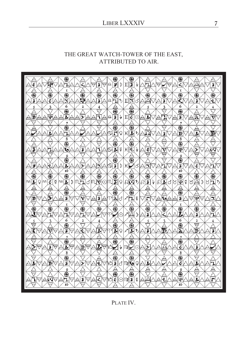|                       |                                   | ⊕                       |                          |                                     | ⊕                                             | ⊕                                         |                          |                         | ⊕                                 |                                       |                         |
|-----------------------|-----------------------------------|-------------------------|--------------------------|-------------------------------------|-----------------------------------------------|-------------------------------------------|--------------------------|-------------------------|-----------------------------------|---------------------------------------|-------------------------|
| $\overline{\epsilon}$ | म्ब                               |                         | 灭                        | ¥<br>$\vec{\nabla}$                 | 7<br>D<br>요                                   | Ī<br>$\frac{1}{2}$<br>$\mathbb I$         | ı                        | ▽                       | ↸                                 | $\overline{\Omega}$                   | X                       |
|                       |                                   | I                       |                          |                                     |                                               |                                           |                          |                         | I                                 |                                       |                         |
| ⊛                     | ⊛                                 | ❀                       | ⊛                        | T                                   | ⊛                                             | ⊛                                         | ⊕                        | ⊛                       | ⊛                                 | ⊛                                     | ⊛                       |
| Ï                     | $\overline{\epsilon}$             | $\overline{\mathbf{x}}$ | 曱                        | X                                   | 7,<br>요<br>ጌ                                  | ₹<br>්<br>Ⅱ                               | Ω                        | ¥                       | К                                 | X                                     | ¢                       |
| 5                     | 3                                 | 6                       | 2                        | 4                                   |                                               |                                           | 5                        | 3                       | 6                                 | 2                                     | 4                       |
|                       |                                   | ❀                       |                          | ₹                                   | ≅                                             | ≅                                         |                          | ₹                       | ⊛                                 |                                       |                         |
| $\mathbf{B}$          | 甲                                 | L                       | Þ                        | प                                   | X<br>4<br>요                                   | $\overline{\epsilon}$<br>$\mathbb I$<br>⊙ | J,                       | 1                       | Ï                                 | $\overline{\mathtt{a}}$               | ডা                      |
|                       |                                   | 7                       |                          |                                     |                                               |                                           |                          |                         | 7                                 |                                       |                         |
| Ł                     |                                   | ❀                       |                          | ₹                                   | ❀                                             | ⊛                                         |                          | ₹                       | ⊛                                 |                                       |                         |
|                       | L                                 | ጔ                       |                          |                                     | $\overline{\mathbf{r}}$<br>¥<br>ြု            | z<br>ђ,<br>Ж                              | Ω                        | X                       | B                                 | Z                                     | F                       |
|                       |                                   | 8<br>⊛                  |                          |                                     | ⊛                                             | △<br>⊛                                    |                          |                         | 8<br>⊛                            |                                       |                         |
| ₹                     | ጊ                                 | ত                       | ¥                        | प                                   | ⋭<br>L<br>ြု                                  | €<br>¥<br>Ж                               | $\overline{\epsilon}$    | $\overline{\mathbf{v}}$ | $\overline{\mathbf{P}}$           | У                                     | ल                       |
|                       |                                   |                         |                          |                                     |                                               |                                           |                          |                         |                                   |                                       |                         |
|                       |                                   | Q<br>⊛                  |                          | ₹                                   | ⊕                                             | ⊛                                         |                          |                         | g<br>❀                            |                                       | V                       |
| 7                     | E                                 | L                       | $\overline{\bm{z}}$      | $\overline{\textbf{x}}$<br>Δ        | X<br>D<br>ြု                                  | ්<br>Ж                                    | $\overline{\mathbf{x}}$  | Ĺ,                      | ¥                                 | $\overline{\epsilon}$                 | <u>ዒ</u>                |
|                       |                                   | ΙO <sub>τ</sub>         |                          |                                     |                                               |                                           |                          |                         | I0                                |                                       |                         |
| ⊛                     | ⊛                                 | ⊛                       | ⊛                        | ⊛                                   | T                                             | ⊛                                         | ⊛                        | ⊛                       | ⊛                                 | ⊛                                     | ⊛                       |
| ¥<br>L<br>≈           | ⋭<br>$\overline{\epsilon}$<br> ≈≈ | D<br>J,<br> ≈≈          | $\vec{\phi}$<br>lm<br>π. | $\overline{\mathbf{v}}$<br>⊙<br>IM. | ₹<br>ç                                        | ত্ৰে<br>ち<br>R                            | ¥<br>₽<br>R              | ්<br>L<br>R             | $\overline{\mathbf{P}}$<br>⋭<br>୪ | $\overline{\Omega_{\rm t}}$<br>D<br>४ | ち<br>४<br>ጔ             |
|                       |                                   |                         |                          |                                     |                                               |                                           |                          |                         |                                   |                                       |                         |
| Δ                     | A                                 | ⊛                       | Δ                        | Λ                                   | ❀                                             | ⊛                                         | $\triangle$              | Δ                       | ⊛                                 |                                       | Δ                       |
| $\mathbf{B}$          | Þ                                 | X                       | $\overline{\textbf{v}}$  | X                                   | $\overline{\mathtt{a}}$<br>ດ<br>ډ<br>්        | ⋭<br>Ţ,                                   | F                        | छ                       | ¥                                 | $\overline{\mathbf{P}}$<br>▽          | $\overline{\mathbf{x}}$ |
|                       |                                   | I                       |                          |                                     |                                               |                                           |                          |                         | I                                 |                                       |                         |
| ⊛                     | ⊕                                 | ❀                       | ⊛                        | ❀                                   | ❀                                             | ⊛                                         | ⊛                        | ⊛                       | ⊛                                 | ⊛                                     | ⊛                       |
| 1                     | ī.                                | ጔ                       | ጔ                        | ₹                                   | ດ<br>Ρ<br>∩                                   | $\overline{\Omega}$<br>》                  | ≸                        | 风                       | L                                 | X                                     | į,                      |
| 5                     | ٩                                 | 6                       | 2                        | 4                                   |                                               |                                           | 5                        | 3                       | 6                                 | 2                                     | 4                       |
| ▽                     |                                   | ⊛                       |                          | Λ                                   | ⊛                                             | ⊕                                         | $\overline{\phantom{a}}$ |                         | ⊛                                 | ▽                                     |                         |
| ≹                     | $\overline{\mathbf{v}}$           | X<br>▽                  | ¢<br>▽                   | J,<br>▽                             | L<br>ς<br>Ρ<br>Q                              | L<br>7,                                   | ≸                        | 丽                       | $\overline{\mathbf{a}}$           | $\overline{\mathbf{B}}$               | ¥                       |
|                       |                                   | 7                       |                          |                                     |                                               |                                           |                          |                         | 7                                 |                                       |                         |
|                       |                                   | ⊕                       |                          |                                     | ⊛                                             | ⊛                                         |                          |                         | ⊛                                 | ▽                                     |                         |
| 5                     | ¥<br>▽                            | J,<br>▽                 | P<br>▽                   | V                                   | $\frac{1}{2}$                                 | ∣M₽<br>⊙                                  | $\overline{\mathbf{z}}$  | Ω                       | ¢                                 | X                                     |                         |
|                       |                                   | 8                       |                          |                                     |                                               |                                           |                          |                         | 8                                 |                                       |                         |
| ▽<br>L                | $\mathbf{E}$                      | ❀<br>≸                  | $\overline{\rightarrow}$ | €                                   | $\frac{\bigoplus}{\bigtriangleup}$<br>Y3<br>₫ | ❀<br><u>ច</u><br>¥<br>IΦ                  | L                        |                         | $\frac{\bigcirc}{\sigma}$         | $\forall$<br>J,                       | ጔ                       |
|                       | ▽                                 | ▽                       | ▽                        |                                     |                                               |                                           |                          |                         |                                   |                                       |                         |
| $\triangledown$       |                                   | $\overline{9}$<br>❀     | 7                        |                                     | ≜                                             | ≜                                         | $\triangle$              | Δ                       | ≜                                 | $\triangledown$                       | ٨                       |
| ٦<br>▽                | $\boldsymbol{\Omega}$<br>▽        | J,<br>▽                 | X<br>▽                   | K,<br>▽                             | $\pmb{\delta}$<br>$\sqrt{2}$                  | $\overline{\tilde{\bm{x}}}$<br>⊙∣ῆ<br>₿   | $\Omega_{\rm t}$         | €                       | $\mathbf{P}$                      | Z                                     | r                       |
|                       |                                   | ΙÛ.                     |                          |                                     |                                               | Δ                                         |                          |                         | I0                                |                                       |                         |
|                       |                                   |                         |                          |                                     |                                               |                                           |                          |                         |                                   |                                       |                         |

# THE GREAT WATCH-TOWER OF THE EAST, ATTRIBUTED TO AIR.

PLATE IV.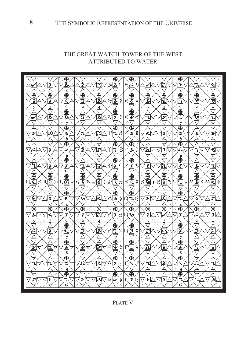# THE GREAT WATCH-TOWER OF THE WEST, ATTRIBUTED TO WATER.

|                          | T             | ⊕<br>7.             | ¥                            | Ä<br>▽                                            | ⊕<br>$\overline{\mathtt{a}}$<br>¥<br>ಲ  | ⊕<br>$\bar{b}$<br>$\Omega$<br>Ж        |                            | $\overline{\mathfrak{X}}$<br>▽     | ⊕<br>Б                       | ד                            | e                            |
|--------------------------|---------------|---------------------|------------------------------|---------------------------------------------------|-----------------------------------------|----------------------------------------|----------------------------|------------------------------------|------------------------------|------------------------------|------------------------------|
| ⊛<br>X                   | ⊛<br>X<br>Δ   | I<br>⊛<br>↸         | ⊛<br>$\overline{\mathbf{B}}$ | ⊛<br>$\overline{\bm{\iota}}$                      | ⊛<br>⋭<br>ಠ<br>L                        | ⊛<br>¥<br>$\overline{\epsilon}$<br>Ж   | ⊕<br>L                     | ⊕<br>€                             | I<br>⊛<br>$\bar{\mathbf{P}}$ | ⊕<br>$\overline{\textbf{v}}$ | ⊕<br>$\overline{\textbf{v}}$ |
| 5<br>Δ                   | 3<br>L        | 6<br>⊛<br>उ         | 2<br>$\overline{\mathbf{B}}$ | 4<br>▽<br>L                                       | ⊛<br>$\overline{\mathbf{z}}$<br>ြု<br>D | ⊛<br>φ<br>්<br>Ж                       | 5<br>J                     | 3<br>▽<br>$\overline{\phantom{a}}$ | 6<br>⊛<br>K,                 | 2<br>△<br>G                  | 4<br>¢                       |
| $\overline{\mathbf{z}}$  | ত্ৰে          | 7<br>⊛<br>L         | ₹                            | v<br>▽<br>$\overline{\mathbf{x}}$                 | ⊛<br>ရက<br>්<br>ፗ                       | ⊛<br>X<br>⋭                            | €                          | v<br>X                             | 7<br>⊕<br>¥                  | L                            | ${\bf F}$                    |
| Δ<br>$\overline{\Omega}$ |               | 8<br>⊛              | ₮                            | v                                                 | ⊕<br>P                                  | ⊛                                      |                            | v                                  | 8<br>⊕<br>Ω                  | △<br>Δ<br>प                  | Δ                            |
|                          | X             | 0<br>❀              |                              | r<br>Δ<br>v                                       | C<br>Ⴂ<br>⊛                             | L<br>D<br>⊛                            | ג                          | ٦<br>U<br>⊽                        | Q<br>⊕                       | ᢑ                            | द<br>□                       |
| न<br>⊛                   | X<br>Л<br>⊛   | ¥<br><b>τ0</b><br>⊛ | ı<br>⊛                       | $\overline{\mathbf{P}}$<br>Δ<br>⊛                 | X<br>℉<br>¥<br>⊛                        | X<br>ち<br>⊛                            | $\overline{\epsilon}$<br>⊛ | ג<br>⊛                             | Ę<br>10<br>⊕                 | L<br>⊛                       | ጔ<br>⊛                       |
| e<br>්<br>IΠ             | Ω<br>ΘM<br>IM | ଦ<br>¥<br>❀         | X<br>ち<br>8                  | $\frac{2}{\pi}$<br>$\left  \epsilon \right $<br>R | ٦<br>්<br>  S (<br>❀                    | 义<br>⋭<br>8<br>⊛                       | ত<br>D<br>8                | X<br>ち<br>୪                        | Q<br>ユ<br>≈<br>⊛             | ¥<br>L<br>≈                  | K,<br>D                      |
| E<br>▽<br>⊛              | X<br>⊛        | ¢<br>I<br>⊛         | ७<br>▽<br>⊛                  | 风<br>⊛                                            | $\overline{\bm{\iota}}$<br>₹<br>⊛       | mр<br>ጔ<br>$\left( \cdot \right)$<br>⊕ | Þ<br>⊕                     | 氏<br>⊛                             | ፗ<br>I<br>⊛                  | É<br>▽<br>⊛                  | ۳<br>⊛                       |
| L<br>5                   | K,<br>3       | Ş<br>6<br>⊛         | X<br>2                       | π<br>4                                            | ₹<br>්<br>⊛                             | ७<br>¥<br> Mp<br>⊛                     | X<br>5                     | 3<br>Δ                             | X<br>6<br>⊛                  | Ω<br>2                       | X<br>4                       |
| ▽<br>$\Omega_{\rm t}$    | ä             | π<br>7              | B                            | L                                                 | ٧å<br>ገ<br>⊙                            | ₹<br>⋭<br>Π₽                           | F                          | ᇟ<br>Λ                             | ¥                            | ▽<br>$\mathbf{B}$            | $\mathcal Y$                 |
| ▽<br>Þ<br>▽              | ₹             | ⊛<br>¥<br>8         | $\overline{\mathbf{P}}$      | 5                                                 | ⊛<br>♎<br>φ<br>》                        | ⊛<br>$\mathbf 7$<br>π<br>囗             | $\overline{\mathbf{a}}$    | X<br>U                             | ⊕<br>X<br>8                  | ▽<br>٦                       | X                            |
| ጔ                        | ı<br>▽        | ⊛<br>₹<br>9         | Ω                            | L<br>▽                                            | ⊕<br>♎<br>Þ<br>ち                        | ⊛<br>٦<br>්<br>囗                       | ₹                          | Δ<br>3                             | ⊛<br>٦<br>g                  | ▽<br>$\overline{\Omega}$     | ı                            |
| ŗ                        | É<br>▽        | ❀<br>ı<br>I0        | $\mathcal{P}$                | ত                                                 | ⊛<br>$\Omega$<br>4<br>w                 | ⊛<br>X<br>⊙                            | $\overline{\epsilon}$      | △<br>$\overline{\mathcal{P}}$      | ⊕<br>R<br>Iθ <sub>1</sub>    | ፲                            | ⋝                            |

PLATE V.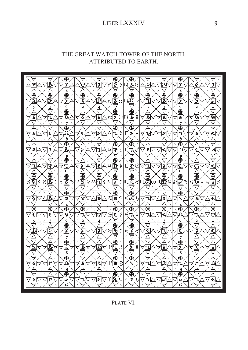# THE GREAT WATCH-TOWER OF THE NORTH, ATTRIBUTED TO EARTH.

| V                            | ⊽                            | ⊕                               | ▽                            |                                        | $\overline{\frac{\bigcircledast}{\mathcal{E}}}$ | ⊕                                                   |                            |              | ⊕                             | ▽                            |                                   |
|------------------------------|------------------------------|---------------------------------|------------------------------|----------------------------------------|-------------------------------------------------|-----------------------------------------------------|----------------------------|--------------|-------------------------------|------------------------------|-----------------------------------|
| $\overline{\mathbf{v}}$      | Δ                            | x<br>I                          | 曱                            | x<br>▽                                 | $\frac{1}{2}$                                   | $\overline{\bm{\iota}}$<br>Π₽<br>⊙                  | $\overline{\Omega}$        | વ્વ          | ¥<br>I                        | ć                            | x<br>▽<br>▽                       |
| ⊛<br>$\overline{\mathbf{a}}$ | ⊛<br>У                       | ⊛<br>Þ                          | ⊛<br>X                       | ⊛<br>F<br>╱                            | ⊛<br>L<br>්                                     | ⊕<br>$\mathbb{D}\mathbb{Q}$<br>¥                    | ❀<br>٦<br>▽                | ❀<br>L       | ⊛<br>$\overline{\mathcal{P}}$ | ⊛<br>$\overline{\mathbf{x}}$ | ⊛<br>$\overline{\mathbf{y}}$      |
| 5                            | 3                            | 6                               | 2                            | 4                                      |                                                 |                                                     | 5                          | 3            | 6                             | 2                            | 4                                 |
| Λ<br>¥                       | ı                            | ⊛<br>उ                          | $\overline{\epsilon}$        | ▽<br>≸<br>Δ                            | ⊛<br>YB<br>Þ<br>⊙                               | ⊛<br>$\overline{\bm{\iota}}$<br>⋭<br>♍              | Δ<br>L                     | e<br>⊽       | ⊛<br>X                        | Ġ<br>▽                       | ∀<br>ত                            |
| ٦                            | v                            | 7                               | U                            | v                                      |                                                 |                                                     | U                          | À            | 7                             | $\rm \nabla$                 | Ò                                 |
| L<br>Ą                       | É<br>⊽                       | ❀<br>Ω                          | e<br>A                       | Ō<br>$\overline{\mathbf{y}}$<br>Δ<br>V | ⊕<br>D<br>♎<br>ኴ                                | ⊕<br>$\frac{1}{2}$<br>$\overline{\phantom{a}}$<br>Д | G<br>▽                     | ⋗<br>▽       | ⊛<br>7                        | Ï<br>V                       | K,<br>V                           |
| △                            |                              | 8<br>⊛                          |                              | 7                                      | ⊛                                               | ⊛                                                   | Δ                          |              | 8<br>⊛                        |                              |                                   |
| $\overline{\epsilon}$        | प                            | L                               | У<br>A                       | ı<br>v                                 | ち<br>$\overline{\mathbf{P}}$<br>♎               | ්<br>囗<br>ı                                         | $\overline{\epsilon}$<br>▽ | K,<br>v      | ۳                             | ę                            | $\overline{\texttt{a}}$           |
|                              |                              | 0<br>⊛                          |                              | v                                      | ⊕                                               | ⊛                                                   |                            |              | 9<br>⊛                        |                              | ▽                                 |
| ▽                            | $\overline{\mathbf{P}}$<br>J | ኂ                               | Þ<br>$\forall$               | $\overline{\epsilon}$<br>Δ             | $\mathbf{E}$<br>$\frac{2}{\pi}$<br>요            | $\overline{\mathbf{P}}$<br>Д<br>⊙                   | ጔ                          | ¥            | E                             | ರ<br>▽                       | 义                                 |
| ⊕                            | ⊕                            | <b>τ0</b><br>⊛                  | ⊛                            | ⊛                                      | ⊛                                               | ⊕                                                   | ⊛                          | ⊛            | 10<br>⊛                       | ⊛                            | ⊛                                 |
| ६<br>⋭<br>8                  | L<br>D<br>୪<br>U             | $\overline{\epsilon}$<br>ち<br>୪ | $\overline{\mathbf{x}}$<br>Q | ⋭<br>ኴ<br>U                            | X<br>D                                          | 义<br>්<br>IM                                        | ପ<br>Θm<br>lm              | E<br>¥       | R<br>ち                        | G<br>₹<br>R                  | X<br>්<br>R                       |
| $\hat{\triangledown}$        | Ō                            | ❀                               | $\triangledown$              | Ō                                      | ❀                                               | ❀                                                   |                            |              | ❀                             | ▽                            | J<br>$\triangledown$              |
| ठे<br>v                      | v                            | X<br>I                          | $\overline{\textbf{v}}$<br>v | $\overline{\mathbf{B}}$<br>v           | $\overline{\mathbf{B}}$<br>ြု<br>Q<br>▽         | $\star$ তি<br>ち                                     | Ţ<br>▽                     | ¥            | ٦<br>v<br>I                   | $\overline{\textbf{z}}$      | ¢                                 |
| ⊕                            | ⊕                            | ⊕                               | ⊕                            | ⊛                                      | ⊛                                               | ⊕                                                   | ⊛                          | ⊛            | ⊛                             | ⊛                            | ⊛                                 |
| ≹                            | E<br>3                       | $\overline{\mathbf{v}}$<br>6    | į.<br>2                      | φ<br>$\triangledown$<br>4              | $\overline{\mathbf{e}}$<br>⋭<br>ြု              | $\frac{1}{2}$<br>Ж<br>ጔ                             | ı<br>5                     | K,<br>3      | Ω<br>6                        | ጔ<br>▽<br>2                  | $\overline{\mathbf{P}}$<br>▽<br>4 |
| ▽<br>L                       | Λ<br>$\Omega_{\rm t}$        | ⊛<br>X                          | У<br>V                       | X<br>V<br>▽                            | ⊛<br>V<br>ြု<br>D                               | ⊕<br>X<br>Ж<br>්                                    | ▽<br>€                     | Δ<br>ĺ.<br>V | ⊛<br>ë                        | X<br>▽                       | द्ग<br>▽                          |
|                              |                              | 7                               |                              |                                        |                                                 |                                                     | ▽                          |              | 7                             |                              |                                   |
| X<br>▽<br>V                  | ⊽<br>$\bar{\nabla}$          | ⊛<br>K,<br>v                    | z<br>$\bar{\nabla}$<br>▽     | Ω<br>▽<br>$\triangledown$              | ⊛<br>က<br>්<br>ጔ                                | ⊛<br>Þ<br>⋭                                         | ፗ<br>▽                     | Λ<br>ä<br>v  | ⊛<br>Þ                        | ডা<br>▽                      | Ï<br>▽                            |
|                              |                              | 8                               |                              |                                        |                                                 |                                                     |                            |              | 8                             |                              |                                   |
| $\overline{\epsilon}$<br>∀   | r<br>Ò,<br>V                 | ⊛<br>$\Omega_{\rm i}$<br>V<br>V | X<br>▽<br>▽                  | L<br>$\forall$<br>∀                    | ⊛<br>ന<br>$\overline{\mathbf{B}}$<br>⊙          | ⊛<br>٦<br>》                                         | ī<br>▽                     | क्र<br>▽     | ⊛<br>Ţ,                       | r<br>$\triangledown$         | $\Omega_{\rm t}$<br>∀             |
|                              |                              | 0<br>⊕                          |                              |                                        | ⊛                                               | ▽<br>⊕                                              |                            | Δ            | 0<br>⊕                        |                              |                                   |
| V<br>X                       | ŗ                            |                                 | Ţ,                           | $\overline{\epsilon}$<br>▽             | ג<br>ၺ<br>¥                                     | X<br>ち                                              | V<br>٦<br>▽                |              | Ę                             | ı<br>▽                       | ę                                 |
|                              |                              | Iθ <sub>1</sub>                 |                              |                                        |                                                 |                                                     |                            |              | 10                            |                              |                                   |

PLATE VI.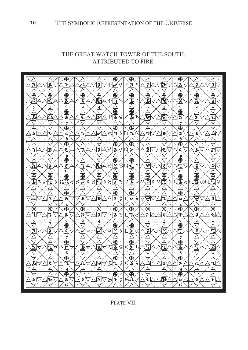|                         |                              | ⊕                                  |                          |                              | ⊕                                                    | ⊕                                                  |                               |                                   | ⊕                            |                         |                              |
|-------------------------|------------------------------|------------------------------------|--------------------------|------------------------------|------------------------------------------------------|----------------------------------------------------|-------------------------------|-----------------------------------|------------------------------|-------------------------|------------------------------|
| π                       | L                            | $\overline{\nu}$<br>△<br>I         | $\overline{\Omega}$      | ¥<br>▽                       | ්<br>ņ<br>c                                          | ₹<br>⋭                                             | X                             | 5                                 | $\overline{\mathtt{a}}$<br>I | X                       | Ï<br>∀                       |
| ❀                       | ⊛                            | ⊛                                  | ⊛                        | ❀                            | ⊛                                                    | ≅                                                  | ⊛                             | ⊛                                 | ⊛                            | ⊕                       | ⊕                            |
| Ω                       | €                            | L                                  | X                        | G                            | p<br>π<br>⊙                                          | L<br>D                                             | J                             | G                                 | ≸                            | $\overline{\mathbf{a}}$ | X                            |
| 5                       | 3                            | 6<br>⊛                             | 2                        | 4<br>$\triangledown$         | ⊛                                                    | ⊛                                                  | 5                             | $\overline{\mathbf{3}}$           | 6<br>⊛                       | $\overline{2}$          | 4<br>∀                       |
|                         | 囚                            | X                                  | €                        | $\overline{\mathbf{y}}$      | z<br>¥<br>I٩<br>Ρ                                    | ち<br>L                                             | G                             | E                                 | ₹                            | $\overline{\mathbf{z}}$ | €                            |
|                         |                              | 7                                  |                          | ⊽                            |                                                      |                                                    |                               | ⊽                                 | 7                            |                         | ▽                            |
| ≸                       | $\overline{\textbf{v}}$      | ⊛<br>€                             | ٦                        | Q                            | ⊛<br>$\frac{1}{2}$<br>۴å<br>Ⴂ                        | ≅<br>₹<br>ļЩ<br>€                                  | 7                             | $\overline{\mathbf{B}}$           | ⊛<br>Ï                       | z                       | $\overline{\Omega}$          |
|                         |                              | 8                                  |                          |                              |                                                      |                                                    |                               |                                   | 8                            |                         |                              |
| $\overline{\mathbf{r}}$ | B                            | ⊛<br>€                             |                          | ⊽                            | ⊛<br>්<br>L                                          | ⊛<br>$\overline{\mathbf{y}}$<br>¥<br>ΠP            | ≸                             |                                   | ⊛<br>K,                      | J,                      | ▽<br>r                       |
|                         |                              |                                    | Ţ.                       | Ï                            |                                                      |                                                    |                               | €                                 |                              |                         |                              |
|                         |                              | ♣                                  |                          | Ū                            | ⊛                                                    | ⊛                                                  |                               |                                   | ⊕                            |                         |                              |
| Ā                       | X                            | $\overline{\epsilon}$<br><b>τ0</b> | ٦                        | G                            | Y3<br>$\overline{\mathfrak{X}}$<br>⊙                 | 顺丈<br>⋭                                            | $\overline{\mathbf{v}}$       | $\overline{\epsilon}$             | ጊ<br>ΙO <sub>τ</sub>         | X                       | Ω                            |
| ⊛                       | ⊛                            | ⊕                                  | ⊕                        | ⊛                            | ⊛                                                    | ⊛                                                  | ⊛                             | ⊛                                 | ⊛                            | ⊛                       | ⊛                            |
| ち<br>L<br>R             | ¥<br>R<br>Γ.                 | $\Omega$ Ω<br>්                    | ⋭<br>४<br>پ              | D<br>ਲ<br>Ⴂ                  | x<br>ち<br>୪                                          | X<br>¥<br>≈                                        | ⋭<br>$\overline{\Omega}$<br>≈ | $\overline{\mathbf{x}}$<br>D<br>≈ | z<br>්                       | $\mathbf{B}$<br>⊙<br>IM | $\overline{\mathbf{r}}$<br>¥ |
|                         |                              | ⊛                                  |                          |                              | ⊛                                                    | ⊛                                                  |                               |                                   | ⊛                            |                         |                              |
| Ω                       | ٦                            | $\overline{\mathbf{a}}$<br>⊽       | ¥                        | $\mathbf{B}$                 | $\overline{\mathbf{z}}$<br>♎<br>D                    | $\overline{\epsilon}$<br>$\frac{1}{2}$<br>Д        | $\overline{P}$<br>▽           | ጌ                                 | $\overline{\epsilon}$        | 霍                       | X                            |
| ⊛                       | ⊕                            | I<br>⊛                             | J<br>⊛                   | ⊛                            | ⊛                                                    | ⊛                                                  | ⊛                             | ⊛                                 | I<br>⊛                       | ⊛                       | ⊕                            |
| ы                       | ı                            | L                                  | $\overline{\mathbf{x}}$  | X                            | L<br>ち<br>♎                                          | ්<br>ı<br>Д                                        | $\overline{\mathbf{z}}$       | $\overline{\epsilon}$             | Ψ                            | 7                       | $\overline{\mathbf{e}}$      |
| ۹                       | ٩                            | 6                                  | 2                        | 4                            |                                                      |                                                    | 5                             | ٩                                 | 6                            | 2                       | 4                            |
| $\overline{\mathbf{x}}$ | ¥                            | ⊛<br>K,<br>À                       | ▽<br>ь                   |                              | ⊛<br>$\overline{\textbf{x}}$<br>$\frac{2}{\pi}$<br>♎ | ⊛<br>$\overline{\mathbf{y}}$<br>Д<br>⊙             | ≸                             | ₹                                 | ❀<br>ד                       | $\overline{\epsilon}$   | Ί                            |
|                         |                              |                                    |                          |                              |                                                      |                                                    |                               |                                   | 7                            |                         |                              |
| π                       |                              | ❀<br>F                             | L                        | e                            | ⊛<br>L<br>Q                                          | ⊕<br>$\overline{\mathbf{y}}$<br>$\ddot{\phi}$<br>Ж | ∀<br>प                        |                                   | ❀<br>Z                       | प                       | Ω                            |
|                         | ı                            | 8                                  | ∀                        | ∀                            | ြု                                                   |                                                    |                               | ı                                 | 8                            |                         |                              |
| ↸<br>⊻                  |                              | $\overline{\mathbb{E}}$            |                          | ٨                            | ❀                                                    | $\frac{1}{2}$                                      | ↸<br>⊻                        |                                   | ᇑ<br>∜∢                      | v                       |                              |
| 7                       | $\overline{\bm{\iota}}$<br>▽ | $\overline{\triangledown}$         | $\overline{\Omega}$<br>▽ | φ<br>▽                       | $\overline{\mathtt{z}}$<br>⋭<br>ಲ                    | Ж<br>$\mathcal{V}$                                 | $\overline{\Omega}$           | ₮                                 |                              | 交                       | ᄓ<br>≙                       |
| $\triangledown$         | A                            | 9<br>❀                             |                          | ٨                            | ❀                                                    | ী<br>পΩ্                                           | $\triangleleft$               | Ā                                 | $\overline{9}$<br>❀          | ⊽                       | Λ                            |
| E<br>▽                  | [J<br>▽                      | L<br>▽<br>ΙÛ.                      | X<br>▽                   | $\overline{\mathbf{y}}$<br>∀ | $\overline{\mathcal{Y}}$<br>D<br>နာ                  |                                                    | ≰                             | $\mathbf{\overline{E}}$           | $\overline{\epsilon}$        | X                       | ¢                            |
|                         |                              |                                    | 7                        |                              |                                                      |                                                    |                               |                                   | 10                           |                         |                              |

## THE GREAT WATCH-TOWER OF THE SOUTH, ATTRIBUTED TO FIRE.

PLATE VII.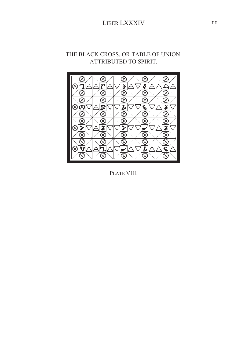## THE BLACK CROSS, OR TABLE OF UNION. ATTRIBUTED TO SPIRIT.



PLATE VIII.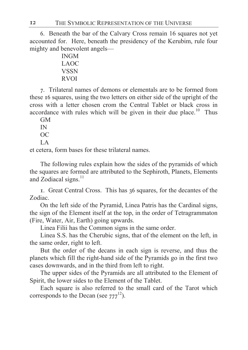6. Beneath the bar of the Calvary Cross remain 16 squares not yet accounted for. Here, beneath the presidency of the Kerubim, rule four mighty and benevolent angels—

> INGM LAOC VSSN RVOI

7. Trilateral names of demons or elementals are to be formed from these 16 squares, using the two letters on either side of the upright of the cross with a letter chosen crom the Central Tablet or black cross in accordance with rules which will be given in their due place.<sup>10</sup> Thus

 GM IN

OC

LA

et cetera, form bases for these trilateral names.

The following rules explain how the sides of the pyramids of which the squares are formed are attributed to the Sephiroth, Planets, Elements and Zodiacal signs.<sup>11</sup>

1. Great Central Cross. This has 36 squares, for the decantes of the Zodiac.

On the left side of the Pyramid, Linea Patris has the Cardinal signs, the sign of the Element itself at the top, in the order of Tetragrammaton (Fire, Water, Air, Earth) going upwards.

Linea Filii has the Common signs in the same order.

Linea S.S. has the Cherubic signs, that of the element on the left, in the same order, right to left.

But the order of the decans in each sign is reverse, and thus the planets which fill the right-hand side of the Pyramids go in the first two cases downwards, and in the third from left to right.

The upper sides of the Pyramids are all attributed to the Element of Spirit, the lower sides to the Element of the Tablet.

Each square is also referred to the small card of the Tarot which corresponds to the Decan (see  $777^{12}$ ).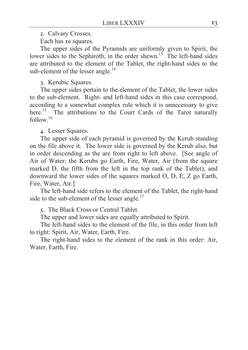2. Calvary Crosses.

Each has 10 squares.

The upper sides of the Pyramids are uniformly given to Spirit, the lower sides to the Sephiroth, in the order shewn.<sup>13</sup> The left-hand sides are attributed to the element of the Tablet, the right-hand sides to the sub-element of the lesser angle.<sup>14</sup>

3. Kerubic Squares.

The upper sides pertain to the element of the Tablet, the lower sides to the sub-element. Right- and left-hand sides in this case correspond, according to a somewhat complex rule which it is unnecessary to give here.<sup>15</sup> The attributions to the Court Cards of the Tarot naturally follow $16$ 

4. Lesser Squares.

The upper side of each pyramid is governed by the Kerub standing on the file above it. The lower side is governed by the Kerub also, but in order descending as the are from right to left above. [See angle of Air of Water; the Kerubs go Earth, Fire, Water, Air (from the square marked D, the fifth from the left in the top rank of the Tablet), and downward the lower sides of the squares marked O, D, E, Z go Earth, Fire, Water, Air.]

The left-hand side refers to the element of the Tablet, the right-hand side to the sub-element of the lesser angle. $^{17}$ 

5. The Black Cross or Central Tablet.

The upper and lower sides are equally attributed to Spirit.

The left-hand sides to the element of the file, in this order from left to right: Spirit, Air, Water, Earth, Fire.

The right-hand sides to the element of the rank in this order: Air, Water, Earth, Fire.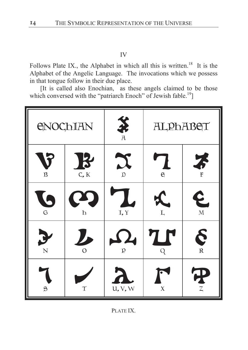## IV

Follows Plate IX., the Alphabet in which all this is written.<sup>18</sup> It is the Alphabet of the Angelic Language. The invocations which we possess in that tongue follow in their due place.

[It is called also Enochian, as these angels claimed to be those which conversed with the "patriarch Enoch" of Jewish fable.<sup>19</sup>]

|                     | <b>ENOCHIAN</b>                 | $\boldsymbol{\mathcal{L}}$<br>$\overline{A}$ | <b>ALPhABET</b>          |                                  |
|---------------------|---------------------------------|----------------------------------------------|--------------------------|----------------------------------|
| V<br>$\mathbf{B}$   | R<br>$\overline{C}_{\bullet}$ K | $\sum_{D}$                                   | $\mathfrak{S}$           | $\boldsymbol{r}$<br>$\mathbf{f}$ |
| S<br>$\overline{G}$ | $\mathbf{h}$                    | I, Y                                         | x<br>$\overline{L}$      | E<br>$\overline{M}$              |
| $\mathbf{F}$<br>N   | И,<br>$\overline{O}$            | $\mathbf{p}$                                 | <b>ZL</b><br>$Q_{\rm c}$ | $\mathcal{E}$<br>$\overline{R}$  |
| $\beta$             | T                               | U, V, W                                      | $\cdot$<br>$\chi$        | <u>n</u><br>$\overline{z}$       |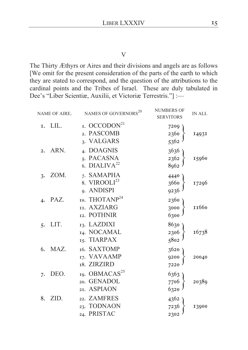V

The Thirty Æthyrs or Aires and their divisions and angels are as follows [We omit for the present consideration of the parts of the earth to which they are stated to correspond, and the question of the attributions to the cardinal points and the Tribes of Israel. These are duly tabulated in Dee's "Liber Scientiæ, Auxilii, et Victoriæ Terrestris."] :-

| NAME OF AIRE.            | NAMES OF GOVERNORS <sup>20</sup>                        | <b>NUMBERS OF</b><br><b>SERVITORS</b> | <b>IN ALL</b> |
|--------------------------|---------------------------------------------------------|---------------------------------------|---------------|
| LIL.<br>I.               | I. OCCODON <sup>21</sup><br>2. PASCOMB<br>3. VALGARS    | 7209<br>2360<br>5362                  | <b>14931</b>  |
| ARN.<br>2.               | 4. DOAGNIS<br>5. PACASNA<br>DIALIVA <sup>22</sup><br>6. | 3636<br>2362<br>8962                  | 15960         |
| ZOM.<br>3.               | 7. SAMAPHA<br>8. VIROOLI $^{23}$<br>9. ANDISPI          | 4440<br>3660<br>9236                  | 17296         |
| PAZ.<br>$\overline{4}$ . | 10. THOTANP <sup>24</sup><br>II. AXZIARG<br>12. POTHNIR | 2360<br>3000<br>6300                  | 11660         |
| LIT.<br>5.               | 13. LAZDIXI<br>14. NOCAMAL<br>15. TIARPAX               | 8630<br>2306<br>5802                  | 16738         |
| MAZ.<br>6.               | 16. SAXTOMP<br>17. VAVAAMP<br>18. ZIRZIRD               | 3620<br>9200<br>7220                  | 20040         |
| DEO.<br>7.               | 19. OBMACA $S^{25}$<br>20. GENADOL<br>21. ASPIAON       | 6363<br>7706<br>6320                  | 20389         |
| ZID.<br>8.               | 22. ZAMFRES<br>23. TODNAON<br>24. PRISTAC               | 4362<br>7236<br>2302                  | 13900         |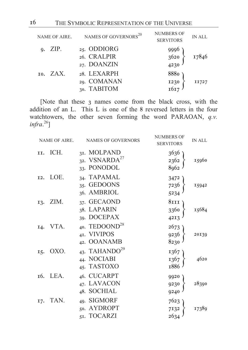| <b>NAME OF AIRE.</b> | NAMES OF GOVERNORS <sup>20</sup> | <b>NUMBERS OF</b><br><b>SERVITORS</b> | <b>IN ALL</b> |
|----------------------|----------------------------------|---------------------------------------|---------------|
| ZIP.                 | 25. ODDIORG                      |                                       |               |
|                      | 26. CRALPIR                      | $9996$<br>3620<br>4230                | 17846         |
|                      | 27. DOANZIN                      |                                       |               |
| I0. ZAX.             | 28. LEXARPH                      | 8880                                  |               |
|                      | 29. COMANAN                      |                                       | II727         |
|                      | 30. TABITOM                      | 1230<br>1617                          |               |

 [Note that these 3 names come from the black cross, with the addition of an L. This L is one of the 8 reversed letters in the four watchtowers, the other seven forming the word PARAOAN, *q.v. infra*. 26]

|            | NAME OF AIRE. | NAMES OF GOVERNORS                                      | <b>NUMBERS OF</b><br><b>SERVITORS</b> | <b>IN ALL</b> |
|------------|---------------|---------------------------------------------------------|---------------------------------------|---------------|
|            | II. ICH.      | 31. MOLPAND<br>32. VSNARDA $^{27}$<br>33. PONODOL       | 3636<br>2362<br>8962                  | 15960         |
|            | 12. LOE.      | 34. TAPAMAL<br>35. GEDOONS<br>36. AMBRIOL               | 3472<br>7236<br>5234                  | 15942         |
| <b>13.</b> | ZIM.          | 37. GECAOND<br>38. LAPARIN<br>39. DOCEPAX               | 8111<br>3360<br>4213                  | 15684         |
| I4.        | VTA.          | 40. TEDOOND <sup>28</sup><br>41. VIVIPOS<br>42. OOANAMB | 2673<br>9236<br>8230                  | 20139         |
| <b>15.</b> | OXO.          | 43. TAHANDO $^{29}$<br>44. NOCIABI<br>45. TASTOXO       | 1367<br>1367<br>1886                  | 4620          |
|            | 16. LEA.      | 46. CUCARPT<br>47. LAVACON<br>48. SOCHIAL               | 9920<br>9230<br>9240                  | 28390         |
| I7.        | TAN.          | 49. SIGMORF<br>50. AYDROPT<br>51. TOCARZI               | 7623<br>7132<br>2634                  | 17389         |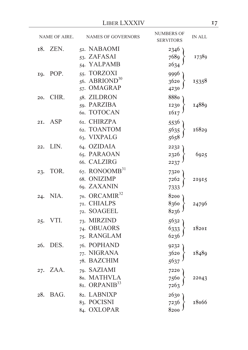|             |               | <b>LIBER LXXXIV</b>                                     |                                       |               | 17 |
|-------------|---------------|---------------------------------------------------------|---------------------------------------|---------------|----|
|             | NAME OF AIRE. | NAMES OF GOVERNORS                                      | <b>NUMBERS OF</b><br><b>SERVITORS</b> | <b>IN ALL</b> |    |
| 18.         | ZEN.          | 52. NABAOMI<br>53. ZAFASAI<br>54. YALPAMB               | 2346<br>7689<br>2634                  | 17389         |    |
| <b>I</b> 9. | POP.          | 55. TORZOXI<br>56. ABRION $D^{30}$<br>57. OMAGRAP       | 9996<br>3620<br>4230                  | 15358         |    |
| 20.         | CHR.          | 58. ZILDRON<br>59. PARZIBA<br>60. TOTOCAN               | 8880<br>1230<br>1617                  | 14889         |    |
| 2I.         | ASP           | 61. CHIRZPA<br>62. TOANTOM<br>63. VIXPALG               | 5536<br>5635<br>5658                  | 16829         |    |
| 22.         | LIN.          | 64. OZIDAIA<br>65. PARAOAN<br>66. CALZIRG               | 2232<br>2326<br>2237                  | 6925          |    |
| 23.         | TOR.          | 67. RONOOMB $31$<br>68. ONIZIMP<br>69. ZAXANIN          | 7320<br>7262<br>7333                  | 21915         |    |
| 24.         | NIA.          | 70. ORCAMIR $^{32}$<br>71. CHIALPS<br>72. SOAGEEL       | 8200<br>8360<br>8236                  | 24796         |    |
|             | 25. VTI.      | 73. MIRZIND<br>74. OBUAORS<br>75. RANGLAM               | 5632<br>6333<br>6236                  | 18201         |    |
|             | 26. DES.      | 76. POPHAND<br>77. NIGRANA<br>78. BAZCHIM               | 9232<br>3620<br>5637                  | 18489         |    |
|             | 27. ZAA.      | 79. SAZIAMI<br>80. MATHVLA<br>81. ORPANIB <sup>33</sup> | 7220<br>7560<br>7263                  | 22043         |    |
| 28.         | BAG.          | 82. LABNIXP<br>83. POCISNI<br>84. OXLOPAR               | 2630<br>7236<br>8200                  | 18066         |    |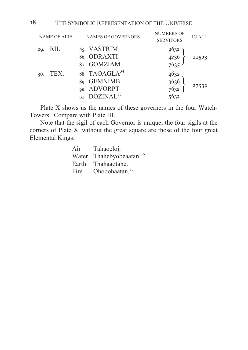|     | <b>NAME OF AIRE.</b> | <b>NAMES OF GOVERNORS</b> | <b>NUMBERS OF</b><br><b>SERVITORS</b>               | <b>IN ALL</b> |
|-----|----------------------|---------------------------|-----------------------------------------------------|---------------|
| 29. | RII.                 | 85. VASTRIM               |                                                     |               |
|     |                      | 86. ODRAXTI               | $\begin{array}{c} 9632 \\ 4236 \\ 7635 \end{array}$ | 21503         |
|     |                      | 87. GOMZIAM               |                                                     |               |
| 30. | TEX.                 | 88. TAOAGLA <sup>34</sup> | 4632                                                |               |
|     |                      | 89. GEMNIMB               | $9636$<br>7632<br>5632                              |               |
|     |                      | 90. ADVORPT               |                                                     | 27532         |
|     |                      | 91. DOZINAL $35$          |                                                     |               |

Plate X shows us the names of these governers in the four Watch-Towers. Compare with Plate III.

Note that the sigil of each Governor is unique; the four sigils at the corners of Plate X. without the great square are those of the four great Elemental Kings:

| Air   | Tahaoeloj.                           |
|-------|--------------------------------------|
|       | Water Thahebyobeaatan. <sup>36</sup> |
| Earth | Thahaaotahe.                         |
| Fire  | Ohooohaatan. <sup>37</sup>           |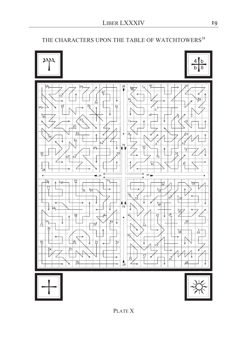# THE CHARACTERS UPON THE TABLE OF WATCHTOWERS<sup>38</sup>



PLATE X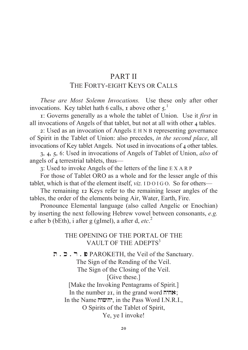# PART II THE FORTY-EIGHT KEYS OR CALLS

*These are Most Solemn Invocations.* Use these only after other invocations. Key tablet hath 6 calls,  $\bar{x}$  above other  $\bar{5}$ .

1: Governs generally as a whole the tablet of Union. Use it *first* in all invocations of Angels of that tablet, but not at all with other 4 tables.

2: Used as an invocation of Angels E H N B representing governance of Spirit in the Tablet of Union: also precedes, *in the second place*, all invocations of Key tablet Angels. Not used in invocations of 4 other tables.

3, 4, 5, 6: Used in invocations of Angels of Tablet of Union, *also* of angels of  $\frac{4}{7}$  terrestrial tablets, thus—

3: Used to invoke Angels of the letters of the line E X A R P

 For those of Tablet ORO as a whole and for the lesser angle of this tablet, which is that of the element itself, *viz.* IDOIGO. So for others—

 The remaining 12 Keys refer to the remaining lesser angles of the tables, the order of the elements being Air, Water, Earth, Fire.

 Pronounce Elemental language (also called Angelic or Enochian) by inserting the next following Hebrew vowel between consonants, *e.g.* e after b (bEth), i after g (gImel), a after d, *etc*. 2

## THE OPENING OF THE PORTAL OF THE VAULT OF THE ADEPTS<sup>3</sup>

t . k . r . p PAROKETH, the Veil of the Sanctuary. The Sign of the Rending of the Veil. The Sign of the Closing of the Veil. [Give these.] [Make the Invoking Pentagrams of Spirit.] In the number 21, in the grand word **היה**; In the Name יהשוה, in the Pass Word I.N.R.I., O Spirits of the Tablet of Spirit, Ye, ye I invoke!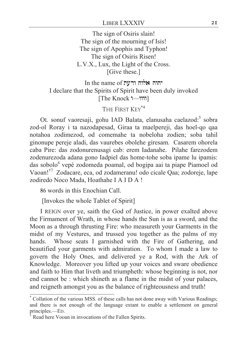The sign of Osiris slain! The sign of the mourning of Isis! The sign of Apophis and Typhon! The sign of Osiris Risen! L.V.X., Lux, the Light of the Cross. [Give these.]

 $\ln$  the name of יהוה אלוה ורעת I declare that the Spirits of Spirit have been duly invoked  $[The Knotk - 1]$ 

THE FIRST KEY<sup>\*4</sup>

OL sonuf vaoresaji, gohu IAD Balata, elanusaha caelazod:<sup>5</sup> sobra zod-ol Roray i ta nazodapesad, Giraa ta maelpereji, das hoel-qo qaa notahoa zodimezod, od comemahe ta nobeloha zodien; soba tahil ginonupe pereje aladi, das vaurebes obolehe giresam. Casarem ohorela caba Pire: das zodonurenusagi cab: erem Iadanahe. Pilahe farezodem zodenurezoda adana gono Iadpiel das home-tohe soba ipame lu ipamis: das sobolo<sup>6</sup> vepé zodomeda poamal, od bogipa aai ta piape Piamoel od Vaoan!<sup>†7</sup> Zodacare, eca, od zodameranu! odo cicale Qaa; zodoreje, lape zodiredo Noco Mada, Hoathahe I A I D A !

86 words in this Enochian Call.

[Invokes the whole Tablet of Spirit]

I REIGN over ye, saith the God of Justice, in power exalted above the Firmament of Wrath, in whose hands the Sun is as a sword, and the Moon as a through thrusting Fire: who measureth your Garments in the midst of my Vestures, and trussed you together as the palms of my hands. Whose seats I garnished with the Fire of Gathering, and beautified your garments with admiration. To whom I made a law to govern the Holy Ones, and delivered ye a Rod, with the Ark of Knowledge. Moreover you lifted up your voices and sware obedience and faith to Him that liveth and triumpheth: whose beginning is not, nor end cannot be : which shineth as a flame in the midst of your palaces, and reigneth amongst you as the balance of righteousness and truth!

<sup>\*</sup> Collation of the various MSS. of these calls has not done away with Various Readings; and there is not enough of the language extant to enable a settlement on general principles.—ED.

Ü Read here Vooan in invocations of the Fallen Spirits.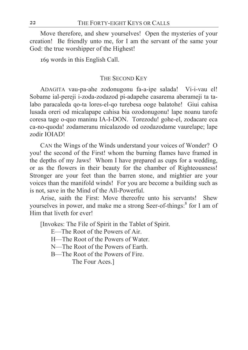Move therefore, and shew yourselves! Open the mysteries of your creation! Be friendly unto me, for I am the servant of the same your God: the true worshipper of the Highest!

169 words in this English Call.

### THE SECOND KEY

 ADAGITA vau-pa-ahe zodonugonu fa-a-ipe salada! Vi-i-vau el! Sobame ial-pereji i-zoda-zodazod pi-adapehe casarema aberameji ta talabo paracaleda qo-ta lores-el-qo turebesa ooge balatohe! Giui cahisa lusada oreri od micalapape cahisa bia ozodonugonu! lape noanu tarofe coresa tage o-quo maninu IA-I-DON. Torezodu! gohe-el, zodacare eca ca-no-quoda! zodameranu micalazodo od ozodazodame vaurelape; lape zodir IOIAD!

CAN the Wings of the Winds understand your voices of Wonder? O you! the second of the First! whom the burning flames have framed in the depths of my Jaws! Whom I have prepared as cups for a wedding, or as the flowers in their beauty for the chamber of Righteousness! Stronger are your feet than the barren stone, and mightier are your voices than the manifold winds! For you are become a building such as is not, save in the Mind of the All-Powerful.

Arise, saith the First: Move thereofre unto his servants! Shew yourselves in power, and make me a strong Seer-of-things:<sup>8</sup> for I am of Him that liveth for ever!

[Invokes: The File of Spirit in the Tablet of Spirit.

E-The Root of the Powers of Air.

H—The Root of the Powers of Water.

N—The Root of the Powers of Earth.

B—The Root of the Powers of Fire.

The Four Aces.]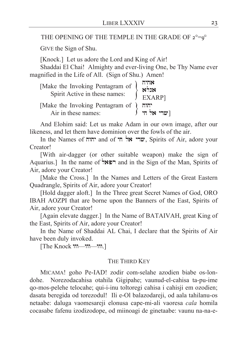## THE OPENING OF THE TEMPLE IN THE GRADE OF  $2^{\circ} = 9^{\circ}$

GIVE the Sign of Shu.

[Knock.] Let us adore the Lord and King of Air! Shaddai El Chai! Almighty and ever-living One, be Thy Name ever magnified in the Life of All. (Sign of Shu.) Amen!

| $[Make the Involing Pentagram of \n$ אבלא<br>Spirit Active in these names: |               |
|----------------------------------------------------------------------------|---------------|
| $\lceil \text{Make the Involing Pentagon of } \}$                          | <b>EXARP1</b> |
| Air in these names:                                                        | ן שרי אל חי   |

And Elohim said: Let us make Adam in our own image, after our likeness, and let them have dominion over the fowls of the air.

In the Names of יהוה and of  $\mathbb{R}^3$  שרי אל הי $\mathbb{R}^3$ , Spirits of Air, adore your Creator!

[With air-dagger (or other suitable weapon) make the sign of Aquarius.] In the name of  $\forall x \in \mathbb{R}$  and in the Sign of the Man, Spirits of Air, adore your Creator!

[Make the Cross.] In the Names and Letters of the Great Eastern Quadrangle, Spirits of Air, adore your Creator!

[Hold dagger aloft.] In the Three great Secret Names of God, ORO IBAH AOZPI that are borne upon the Banners of the East, Spirits of Air, adore your Creator!

[Again elevate dagger.] In the Name of BATAIVAH, great King of the East, Spirits of Air, adore your Creator!

In the Name of Shaddai AL Chai, I declare that the Spirits of Air have been duly invoked.

 $[The Knotk$ ווו $-$ ווו $-$ ווו $-1$ 

#### THE THIRD KEY

MICAMA! goho Pe-IAD! zodir com-selahe azodien biabe os-londohe. Norezodacahisa otahila Gigipahe; vaunud-el-cahisa ta-pu-ime qo-mos-pelehe telocahe; qui-i-inu toltoregi cahisa i cahisji em ozodien; dasata beregida od torezodul! Ili e-Ol balazodareji, od aala tahilanu-os netaabe: daluga vaomesareji elonusa cape-mi-ali vaoresa *cala* homila cocasabe fafenu izodizodope, od miinoagi de ginetaabe: vaunu na-na-e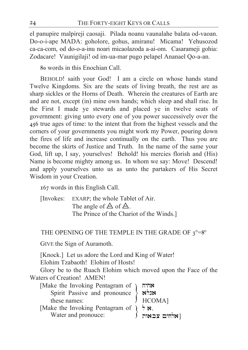el panupire malpireji caosaji. Pilada noanu vaunalahe balata od-vaoan. Do-o-i-ape MADA: goholore, gohus, amiranu! Micama! Yehusozod ca-ca-com, od do-o-a-inu noari micaolazoda a-ai-om. Casarameji gohia: Zodacare! Vaunigilaji! od im-ua-mar pugo pelapel Ananael Qo-a-an.

80 words in this Enochian Call.

BEHOLD! saith your God! I am a circle on whose hands stand Twelve Kingdoms. Six are the seats of living breath, the rest are as sharp sickles or the Horns of Death. Wherein the creatures of Earth are and are not, except (in) mine own hands; which sleep and shall rise. In the First I made ye stewards and placed ye in twelve seats of government: giving unto every one of you power successively over the 456 true ages of time: to the intent that from the highest vessels and the corners of your governments you might work my Power, pouring down the fires of life and increase continually on the earth. Thus you are become the skirts of Justice and Truth. In the name of the same your God, lift up, I say, yourselves! Behold! his mercies florish and (His) Name is become mighty among us. In whom we say: Move! Descend! and apply yourselves unto us as unto the partakers of His Secret Wisdom in your Creation.

167 words in this English Call.

[Invokes: EXARP; the whole Tablet of Air. The angle of  $\triangle$  of  $\triangle$ . The Prince of the Chariot of the Winds.]

THE OPENING OF THE TEMPLE IN THE GRADE OF  $3^{\circ}=8^{\circ}$ 

GIVE the Sign of Auramoth.

[Knock.] Let us adore the Lord and King of Water!

Elohim Tzabaoth! Elohim of Hosts!

Glory be to the Ruach Elohim which moved upon the Face of the Waters of Creation! AMEN!

| [Make the Invoking Pentagram of ) אחיה                          |                |
|-----------------------------------------------------------------|----------------|
| Spirit Passive and pronounce $\{ \star \star \star$             |                |
| these names:                                                    | HCOMA]         |
| [Make the Invoking Pentagram of $\lambda$ $\lambda$ $\lambda$ . |                |
| Water and pronouce:                                             | ∫ אלׄהים צבאות |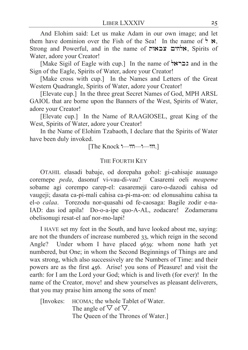And Elohim said: Let us make Adam in our own image; and let them have dominion over the Fish of the Sea! In the name of  $\lambda$ , Strong and Powerful, and in the name of  $\pi \times \pi$ הרם צבאות Spirits of Water, adore your Creator!

 $[Make Sigil of Eagle with cup.]$  In the name of  $\forall x \exists z$  and in the Sign of the Eagle, Spirits of Water, adore your Creator!

[Make cross with cup.] In the Names and Letters of the Great Western Quadrangle, Spirits of Water, adore your Creator!

[Elevate cup.] In the three great Secret Names of God, MPH ARSL GAIOL that are borne upon the Banners of the West, Spirits of Water, adore your Creator!

[Elevate cup.] In the Name of RAAGIOSEL, great King of the West, Spirits of Water, adore your Creator!

In the Name of Elohim Tzabaoth, I declare that the Spirits of Water have been duly invoked.

 $[The K $-111 - 1 - 111]$$ 

## THE FOURTH KEY

 OTAHIL elasadi babaje, od dorepaha gohol: gi-cahisaje auauago coremepe *peda*, dasonuf vi-vau-di-vau? Casaremi oeli *meapeme* sobame agi corempo carep-el: casaremeji caro-o-dazodi cahisa od vaugeji; dasata ca-pi-mali cahisa ca-pi-ma-on: od elonusahinu cahisa ta el-o *calaa*. Torezodu nor-quasahi od fe-caosaga: Bagile zodir e-na-IAD: das iod apila! Do-o-a-ipe quo-A-AL, zodacare! Zodameranu obelisonugi resat-el aaf nor-mo-lapi!

 I HAVE set my feet in the South, and have looked about me, saying: are not the thunders of increase numbered 33, which reign in the second Angle? Under whom I have placed 9639: whom none hath yet numbered, but One; in whom the Second Beginnings of Things are and wax strong, which also successively are the Numbers of Time: and their powers are as the first 456. Arise! you sons of Pleasure! and visit the earth: for I am the Lord your God; which is and liveth (for ever)! In the name of the Creator, move! and shew yourselves as pleasant deliverers, that you may praise him among the sons of men!

 [Invokes: HCOMA; the whole Tablet of Water. The angle of  $\nabla$  of  $\nabla$ . The Queen of the Thrones of Water.]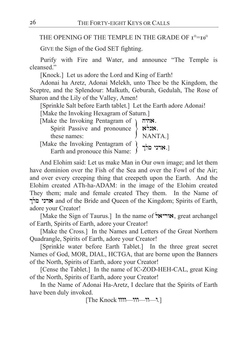# THE OPENING OF THE TEMPLE IN THE GRADE OF  $\mathbf{1}^{\circ}=\mathbf{10}^{\circ}$

GIVE the Sign of the God SET fighting.

Purify with Fire and Water, and announce "The Temple is cleansed."

[Knock.] Let us adore the Lord and King of Earth!

Adonai ha Aretz, Adonai Melekh, unto Thee be the Kingdom, the Sceptre, and the Splendour: Malkuth, Geburah, Gedulah, The Rose of Sharon and the Lily of the Valley, Amen!

[Sprinkle Salt before Earth tablet.] Let the Earth adore Adonai!

[Make the Invoking Hexagram of Saturn.]

| Make the Invoking Pentagram of ) אחיה.     |           |
|--------------------------------------------|-----------|
| Spirit Passive and pronounce $\{ \star \}$ |           |
| these names:                               | J NANTA.] |
| [Make the Invoking Pentagram of ) אדני מלך |           |
| Earth and pronouce this Name:              |           |

And Elohim said: Let us make Man in Our own image; and let them have dominion over the Fish of the Sea and over the Fowl of the Air; and over every creeping thing that creepeth upon the Earth. And the Elohim created ATh-ha-ADAM: in the image of the Elohim created They them; male and female created They them. In the Name of ]lm ynda and of the Bride and Queen of the Kingdom; Spirits of Earth, adore your Creator!

 $[Make the Sign of Taurus.]$  In the name of  $\mathcal{B}$ אורי $\mathcal{B}$ , great archangel of Earth, Spirits of Earth, adore your Creator!

[Make the Cross.] In the Names and Letters of the Great Northern Quadrangle, Spirits of Earth, adore your Creator!

[Sprinkle water before Earth Tablet.] In the three great secret Names of God, MOR, DIAL, HCTGA, that are borne upon the Banners of the North, Spirits of Earth, adore your Creator!

[Cense the Tablet.] In the name of IC-ZOD-HEH-CAL, great King of the North, Spirits of Earth, adore your Creator!

In the Name of Adonai Ha-Aretz, I declare that the Spirits of Earth have been duly invoked.

 $[The Knotk$   $\text{N}$   $\text{N}$   $\text{N}$   $\text{N}$   $\text{N}$   $\text{N}$   $\text{N}$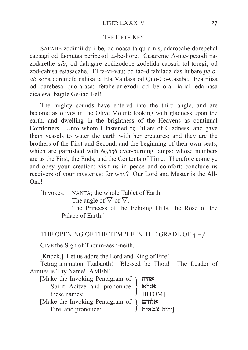## THE FIFTH KEY

SAPAHE zodimii du-i-be, od noasa ta qu-a-nis, adarocahe dorepehal caosagi od faonutas peripesol ta-be-liore. Casareme A-me-ipezodi nazodarethe *afa*; od dalugare zodizodope zodelida caosaji tol-toregi; od zod-cahisa esiasacahe. El ta-vi-vau; od iao-d tahilada das hubare *pe-oal*; soba coremefa cahisa ta Ela Vaulasa od Quo-Co-Casabe. Eca niisa od darebesa quo-a-asa: fetahe-ar-ezodi od beliora: ia-ial eda-nasa cicalesa; bagile Ge-iad I-el!

The mighty sounds have entered into the third angle, and are become as olives in the Olive Mount; looking with gladness upon the earth, and dwelling in the brightness of the Heavens as continual Comforters. Unto whom I fastened 19 Pillars of Gladness, and gave them vessels to water the earth with her creatures; and they are the brothers of the First and Second, and the beginning of their own seats, which are garnished with 69,636 ever-burning lamps: whose numbers are as the First, the Ends, and the Contents of Time. Therefore come ye and obey your creation: visit us in peace and comfort: conclude us receivers of your mysteries: for why? Our Lord and Master is the All-One!

[Invokes: NANTA; the whole Tablet of Earth.

The angle of  $\overline{\nabla}$  of  $\overline{\nabla}$ .

The Princess of the Echoing Hills, the Rose of the Palace of Earth.]

THE OPENING OF THE TEMPLE IN THE GRADE OF  $4^{\circ} = 7^{\circ}$ 

GIVE the Sign of Thoum-aesh-neith.

[Knock.] Let us adore the Lord and King of Fire!

Tetragrammaton Tzabaoth! Blessed be Thou! The Leader of Armies is Thy Name! AMEN!

| [Make the Invoking Pentagram of ) אחיה             |               |
|----------------------------------------------------|---------------|
| Spirit Acitve and pronounce $\{ \star \star \star$ |               |
| these names:                                       | <b>BITOM</b>  |
| [Make the Invoking Pentagram of ) אלחים            |               |
| Fire, and pronouce:                                | ∫יהוה צבאות ∫ |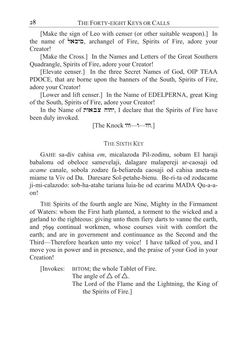[Make the sign of Leo with censer (or other suitable weapon).] In the name of lakim, archangel of Fire, Spirits of Fire, adore your Creator!

[Make the Cross.] In the Names and Letters of the Great Southern Quadrangle, Spirits of Fire, adore your Creator!

[Elevate censer.] In the three Secret Names of God, OIP TEAA PDOCE, that are borne upon the banners of the South, Spirits of Fire, adore your Creator!

[Lower and lift censer.] In the Name of EDELPERNA, great King of the South, Spirits of Fire, adore your Creator!

In the Name of יהוה צבאות, I declare that the Spirits of Fire have been duly invoked.

 $[The Knotk$   $\ddots$ 

#### THE SIXTH KEY

 GAHE sa-div cahisa *em*, micalazoda Pil-zodinu, sobam El haraji babalonu od obeloce samevelaji, dalagare malapereji ar-caosaji od *acame* canale, sobola zodare fa-beliareda caosaji od cahisa aneta-na miame ta Viv od Da. Daresare Sol-petahe-bienu. Be-ri-ta od zodacame ji-mi-calazodo: sob-ha-atahe tariana luia-he od ecarinu MADA Qu-a-aon!

 THE Spirits of the fourth angle are Nine, Mighty in the Firmament of Waters: whom the First hath planted, a torment to the wicked and a garland to the righteous: giving unto them fiery darts to vanne the earth, and 7699 continual workmen, whose courses visit with comfort the earth; and are in government and continuance as the Second and the Third—Therefore hearken unto my voice! I have talked of you, and I move you in power and in presence, and the praise of your God in your Creation!

 [Invokes: BITOM; the whole Tablet of Fire. The angle of  $\triangle$  of  $\triangle$ . The Lord of the Flame and the Lightning, the King of the Spirits of Fire.]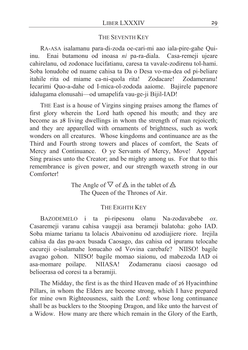#### THE SEVENTH KEY

 RA-ASA isalamanu para-di-zoda oe-cari-mi aao iala-pire-gahe Quiinu. Enai butamonu od inoasa *ni* pa-ra-diala. Casa-remeji ujeare cahirelanu, od zodonace lucifatianu, caresa ta vavale-zodirenu tol-hami. Soba lonudohe od nuame cahisa ta Da o Desa vo-ma-dea od pi-beliare itahile rita od miame ca-ni-quola rita! Zodacare! Zodameranu! Iecarimi Quo-a-dahe od I-mica-ol-zododa aaiome. Bajirele papenore idalugama elonusahi—od umapelifa vau-ge-ji Bijil-IAD!

 THE East is a house of Virgins singing praises among the flames of first glory wherein the Lord hath opened his mouth; and they are become as 28 living dwellings in whom the strength of man rejoiceth; and they are apparelled with ornaments of brightness, such as work wonders on all creatures. Whose kingdoms and continuance are as the Third and Fourth strong towers and places of comfort, the Seats of Mercy and Continuance. O ye Servants of Mercy, Move! Appear! Sing praises unto the Creator; and be mighty among us. For that to this remembrance is given power, and our strength waxeth strong in our Comforter!

> The Angle of  $\nabla$  of  $\Delta$  in the tablet of  $\Delta$ The Queen of the Thrones of Air.

## THE EIGHTH KEY

 BAZODEMELO i ta pi-ripesonu olanu Na-zodavabebe *ox*. Casaremeji varanu cahisa vaugeji asa berameji balatoha: goho IAD. Soba miame tarianu ta lolacis Abaivoninu od azodiajiere riore. Irejila cahisa da das pa-aox busada Caosago, das cahisa od ipuranu telocahe cacureji o-isalamahe lonucaho od Vovina carebafe? NIISO! bagile avagao gohon. NIISO! bagile momao siaionu, od mabezoda IAD oi asa-momare poilape. NIIASA! Zodameranu ciaosi caosago od belioerasa od coresi ta a beramiji.

 The Midday, the first is as the third Heaven made of 26 Hyacinthine Pillars, in whom the Elders are become strong, which I have prepared for mine own Righteousness, saith the Lord: whose long continuance shall be as bucklers to the Stooping Dragon, and like unto the harvest of a Widow. How many are there which remain in the Glory of the Earth,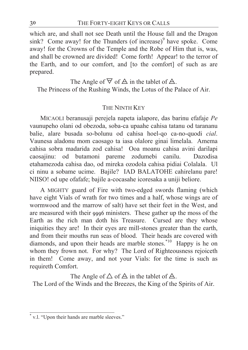30 THE FORTY-EIGHT KEYS OR CALLS

which are, and shall not see Death until the House fall and the Dragon sink? Come away! for the Thunders (of increase) $9$  have spoke. Come away! for the Crowns of the Temple and the Robe of Him that is, was, and shall be crowned are divided! Come forth! Appear! to the terror of the Earth, and to our comfort, and [to the comfort] of such as are prepared.

The Angle of  $\overline{\nabla}$  of  $\Delta$  in the tablet of  $\Delta$ .

The Princess of the Rushing Winds, the Lotus of the Palace of Air.

# THE NINTH KEY

MICAOLI beranusaji perejela napeta ialapore, das barinu efafaje *Pe* vaunupeho olani od obezoda, soba-ca upaahe cahisa tatanu od tarananu balie, alare busada so-bolunu od cahisa hoel-qo ca-no-quodi *cial*. Vaunesa aladonu mom caosago ta iasa olalore ginai limelala. Amema cahisa sobra madarida zod cahisa! Ooa moanu cahisa avini darilapi caosajinu: od butamoni pareme zodumebi canilu. Dazodisa etahamezoda cahisa dao, od mireka ozodola cahisa pidiai Colalala. Ul ci ninu a sobame ucime. Bajile? IAD BALATOHE cahirelanu pare! NIISO! od upe ofafafe; bajile a-cocasahe icoresaka a uniji beliore.

A MIGHTY guard of Fire with two-edged swords flaming (which have eight Vials of wrath for two times and a half, whose wings are of wormwood and the marrow of salt) have set their feet in the West, and are measured with their 9996 ministers. These gather up the moss of the Earth as the rich man doth his Treasure. Cursed are they whose iniquities they are! In their eyes are mill-stones greater than the earth, and from their mouths run seas of blood. Their heads are covered with diamonds, and upon their heads are marble stones.<sup>\*10</sup> Happy is he on whom they frown not. For why? The Lord of Righteousness rejoiceth in them! Come away, and not your Vials: for the time is such as requireth Comfort.

The Angle of  $\triangle$  of  $\triangle$  in the tablet of  $\triangle$ . The Lord of the Winds and the Breezes, the King of the Spirits of Air.

 $\overline{N}$  v.l. "Upon their hands are marble sleeves."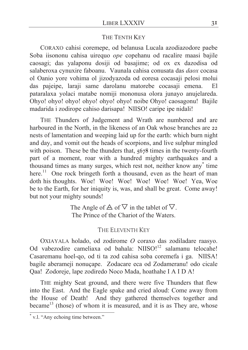#### THE TENTH KEY

CORAXO cahisi coremepe, od belanusa Lucala azodiazodore paebe Soba iisononu cahisa uirequo *ope* copehanu od racalire maasi bajile caosagi; das yalaponu dosiji od basajime; od ox ex dazodisa od salaberoxa cynuxire faboanu. Vaunala cahisa conusata das *daox* cocasa ol Oanio yore vohima ol jizodyazoda od eoresa cocasaji pelosi molui das pajeipe, laraji same darolanu matorebe cocasaji emena. El pataralaxa yolaci matabe nomiji mononusa olora junayo anujelareda. Ohyo! ohyo! ohyo! ohyo! ohyo! ohyo! noibe Ohyo! caosagonu! Bajile madarida i zodirope cahiso darisapa! NIISO! caripe ipe nidali!

THE Thunders of Judgement and Wrath are numbered and are harboured in the North, in the likeness of an Oak whose branches are 22 nests of lamentation and weeping laid up for the earth: which burn night and day, and vomit out the heads of scorpions, and live sulphur mingled with poison. These be the thunders that,  $5678$  times in the twenty-fourth part of a moment, roar with a hundred mighty earthquakes and a thousand times as many surges, which rest not, neither know any\* time here.<sup>11</sup> One rock bringeth forth a thousand, even as the heart of man doth his thoughts. Woe! Woe! Woe! Woe! Woe! Woe! Yea, Woe be to the Earth, for her iniquity is, was, and shall be great. Come away! but not your mighty sounds!

> The Angle of  $\triangle$  of  $\nabla$  in the tablet of  $\nabla$ . The Prince of the Chariot of the Waters.

#### THE ELEVENTH KEY

OXIAYALA holado, od zodirome *O* coraxo das zodiladare raasyo. Od vabezodire cameliaxa od bahala: NIISO!<sup>12</sup> salamanu telocahe! Casaremanu hoel-qo, od ti ta zod cahisa soba coremefa i ga. NIISA! bagile aberameji nonuçape. Zodacare eca od Zodameranu! odo cicale Qaa! Zodoreje, lape zodiredo Noco Mada, hoathahe I A I D A!

THE mighty Seat ground, and there were five Thunders that flew into the East. And the Eagle spake and cried aloud: Come away from the House of Death! And they gathered themselves together and became<sup>13</sup> (those) of whom it is measured, and it is as They are, whose

 $\overline{N}$  v.l. "Any echoing time between."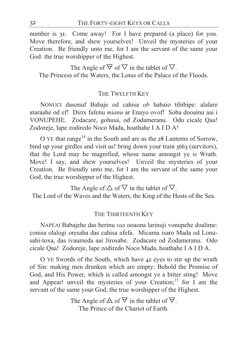number is  $3I$ . Come away! For I have prepared (a place) for you. Move therefore, and shew yourselves! Unveil the mysteries of your Creation. Be friendly unto me, for I am the servant of the same your God: the true worshipper of the Highest.

The Angle of  $\overline{\nabla}$  of  $\overline{\nabla}$  in the tablet of  $\overline{\nabla}$ . The Princess of the Waters, the Lotus of the Palace of the Floods.

#### THE TWELFTH KEY

NONUCI dasonuf Babaje od cahisa *ob* habaio tibibipe: alalare ataraahe od ef! Dirix fafenu *mianu* ar Enayo ovof! Soba dooainu aai i VONUPEHE. Zodacare, gohusa, od Zodameranu. Odo cicale Qaa! Zodoreje, lape zodiredo Noco Mada, hoathahe I A I D A!

O YE that range<sup>14</sup> in the South and are as the  $28$  Lanterns of Sorrow, bind up your girdles and visit us! bring down your train 3663 (servitors), that the Lord may be magnified, whose name amongst ye is Wrath. Move! I say, and shew yourselves! Unveil the mysteries of your Creation. Be friendly unto me, for I am the servant of the same your God, the true worshipper of the Highest.

The Angle of  $\triangle$  of  $\nabla$  in the tablet of  $\nabla$ . The Lord of the Waves and the Waters, the King of the Hosts of the Sea.

#### THE THIRTEENTH KEY

NAPEAI Babajehe das berinu *vax* ooaona larinuji vonupehe doalime: conisa olalogi oresaha das cahisa afefa. Micama isaro Mada od Lonusahi-toxa, das ivaumeda aai Jirosabe. Zodacare od Zodameranu. Odo cicale Qaa! Zodoreje, lape zodiredo Noco Mada, hoathahe I A I D A.

O YE Swords of the South, which have 42 eyes to stir up the wrath of Sin: making men drunken which are empty: Behold the Promise of God, and His Power, which is called amongst ye a bitter sting! Move and Appear! unveil the mysteries of your Creation;<sup>15</sup> for I am the servant of the same your God, the true worshipper of the Highest.

> The Angle of  $\Delta$  of  $\nabla$  in the tablet of  $\nabla$ . The Prince of the Chariot of Earth.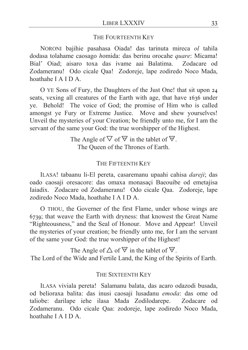#### THE FOURTEENTH KEY

NORONI bajihie pasahasa Oiada! das tarinuta mireca *ol* tahila dodasa tolahame caosago *h*omida: das berinu orocahe *quare*: Micama! Bialí Oiad; aisaro toxa das ivame aai Balatima. Zodacare od Zodameranu! Odo cicale Qaa! Zodoreje, lape zodiredo Noco Mada, hoathahe I A I D A.

O YE Sons of Fury, the Daughters of the Just One! that sit upon 24 seats, vexing all creatures of the Earth with age, that have 1636 under ye. Behold! The voice of God; the promise of Him who is called amongst ye Fury or Extreme Justice. Move and shew yourselves! Unveil the mysteries of your Creation; be friendly unto me, for I am the servant of the same your God: the true worshipper of the Highest.

> The Angle of  $\nabla$  of  $\nabla$  in the tablet of  $\nabla$ . The Queen of the Thrones of Earth.

#### THE FIFTEENTH KEY

 ILASA! tabaanu li-El pereta, casaremanu upaahi cahisa *dareji*; das oado caosaji oresacore: das omaxa monasaçi Baeouibe od emetajisa Iaiadix. Zodacare od Zodameranu! Odo cicale Qaa. Zodoreje, lape zodiredo Noco Mada, hoathahe I A I D A.

 O THOU, the Governer of the first Flame, under whose wings are 6739; that weave the Earth with dryness: that knowest the Great Name "Righteousness," and the Seal of Honour. Move and Appear! Unveil the mysteries of your creation; be friendly unto me, for I am the servant of the same your God: the true worshipper of the Highest!

The Angle of  $\triangle$  of  $\overline{\triangledown}$  in the tablet of  $\overline{\triangledown}$ . The Lord of the Wide and Fertile Land, the King of the Spirits of Earth.

#### THE SIXTEENTH KEY

 ILASA viviala pereta! Salamanu balata, das acaro odazodi busada, od belioraxa balita: das inusi caosaji lusadanu *emoda*: das ome od taliobe: darilape iehe ilasa Mada Zodilodarepe. Zodacare od Zodameranu. Odo cicale Qaa: zodoreje, lape zodiredo Noco Mada, hoathahe I A I D A.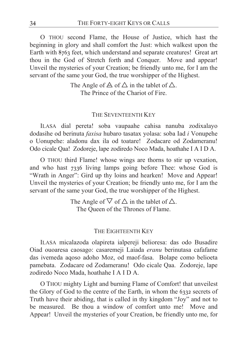O THOU second Flame, the House of Justice, which hast the beginning in glory and shall comfort the Just: which walkest upon the Earth with 8763 feet, which understand and separate creatures! Great art thou in the God of Stretch forth and Conquer. Move and appear! Unveil the mysteries of your Creation; be friendly unto me, for I am the servant of the same your God, the true worshipper of the Highest.

> The Angle of  $\triangle$  of  $\triangle$  in the tablet of  $\triangle$ . The Prince of the Chariot of Fire.

#### THE SEVENTEENTH KEY

 ILASA dial pereta! soba vaupaahe cahisa nanuba zodixalayo dodasihe od berinuta *faxisa* hubaro tasatax yolasa: soba Iad *i* Vonupehe o Uonupehe: aladonu dax ila od toatare! Zodacare od Zodameranu! Odo cicale Qaa! Zodoreje, lape zodiredo Noco Mada, hoathahe I A I D A.

 O THOU third Flame! whose wings are thorns to stir up vexation, and who hast 7336 living lamps going before Thee: whose God is "Wrath in Anger": Gird up thy loins and hearken! Move and Appear! Unveil the mysteries of your Creation; be friendly unto me, for I am the servant of the same your God, the true worshipper of the Highest.

> The Angle of  $\nabla$  of  $\Delta$  in the tablet of  $\Delta$ . The Queen of the Thrones of Flame.

#### THE EIGHTEENTH KEY

 ILASA micalazoda olapireta ialpereji belioresa: das odo Busadire Oiad ouoaresa caosago: casaremeji Laiada *eranu* berinutasa cafafame das ivemeda aqoso adoho Moz, od maof-fasa. Bolape como belioeta pamebata. Zodacare od Zodameranu! Odo cicale Qaa. Zodoreje, lape zodiredo Noco Mada, hoathahe I A I D A.

 O THOU mighty Light and burning Flame of Comfort! that unveilest the Glory of God to the centre of the Earth, in whom the 6332 secrets of Truth have their abiding, that is called in thy kingdom "Joy" and not to be measured. Be thou a window of comfort unto me! Move and Appear! Unveil the mysteries of your Creation, be friendly unto me, for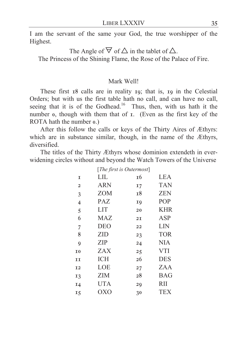I am the servant of the same your God, the true worshipper of the Highest.

The Angle of  $\overline{\nabla}$  of  $\Delta$  in the tablet of  $\Delta$ . The Princess of the Shining Flame, the Rose of the Palace of Fire.

## Mark Well!

 These first 18 calls are in reality 19; that is, 19 in the Celestial Orders; but with us the first table hath no call, and can have no call, seeing that it is of the Godhead.<sup>16</sup> Thus, then, with us hath it the number 0, though with them that of 1. (Even as the first key of the ROTA hath the number  $o$ .)

After this follow the calls or keys of the Thirty Aires of Æthyrs: which are in substance similar, though, in the name of the Æthyrs, diversified.

The titles of the Thirty Æthyrs whose dominion extendeth in everwidening circles without and beyond the Watch Towers of the Universe

|                | [The first is Outermost] |           |            |
|----------------|--------------------------|-----------|------------|
| I              | LIL                      | <b>16</b> | LEA        |
| $\overline{2}$ | <b>ARN</b>               | 17        | <b>TAN</b> |
| 3              | <b>ZOM</b>               | 18        | <b>ZEN</b> |
| $\overline{4}$ | PAZ                      | <b>19</b> | <b>POP</b> |
| 5              | <b>LIT</b>               | 20        | <b>KHR</b> |
| 6              | MAZ                      | 2I        | <b>ASP</b> |
| 7              | <b>DEO</b>               | 22        | <b>LIN</b> |
| 8              | <b>ZID</b>               | 23        | <b>TOR</b> |
| 9              | <b>ZIP</b>               | 24        | <b>NIA</b> |
| Ι0             | ZAX                      | 25        | <b>VTI</b> |
| II             | <b>ICH</b>               | 26        | <b>DES</b> |
| 12             | LOE                      | 27        | ZAA        |
| 13             | ZIM                      | 28        | <b>BAG</b> |
| 14             | <b>UTA</b>               | 29        | RII        |
| <b>15</b>      | OXO                      | 30        | TEX        |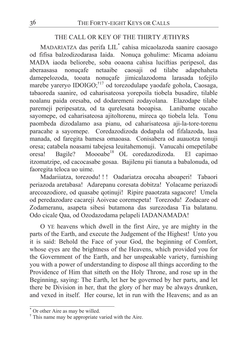## THE CALL OR KEY OF THE THIRTY ÆTHYRS

 MADARIATZA das perifa LIL\* cahisa micaolazoda saanire caosago od fifisa balzodizodarasa Iaida. Nonuça gohulime: Micama adoianu MADA iaoda beliorebe, soba ooaona cahisa luciftias peripesol, das aberaasasa nonuçafe netaaibe caosaji od tilabe adapehaheta damepelozoda, tooata nonuçafe jimicalazodoma larasada tofejilo marebe yareryo IDOIGO;<sup>†17</sup> od torezodulape yaodafe gohola, Caosaga, tabaoreda saanire, od caharisateosa yorepoila tiobela busadire, tilable noalanu paida oresaba, od dodaremeni zodayolana. Elazodape tilabe paremeji peripesatza, od ta qurelesata booapisa. Lanibame oucaho sayomepe, od caharisateosa ajitoltorenu, mireca qo tiobela lela. Tonu paombeda dizodalamo asa pianu, od caharisateosa aji-la-tore-torenu paracahe a sayomepe. Coredazodizoda dodapala od fifalazoda, lasa manada, od faregita bamesa omaoasa. Conisabera od auauotza tonuji oresa; catabela noasami tabejesa leuitahemonuji. Vanucahi omepetilabe oresa! Bagile? Moooabe<sup>18</sup> OL coredazodizoda. El capimao itzomatzipe, od cacocasabe gosaa. Bajilenu pii tianuta a babalonuda, od faoregita teloca uo uime.

Madariiatza, torezodu! !! Oadariatza orocaha aboaperi! Tabaori periazoda aretabasa! Adarepanu coresata dobitza! Yolacame periazodi arecoazodiore, od quasabe qotinuji! Ripire paaotzata sagacore! Umela od peredazodare cacareji Aoiveae coremepeta! Torezodu! Zodacare od Zodameranu, asapeta sibesi butamona das surezodasa Tia balatanu. Odo cicale Qaa, od Ozodazodama pelapeli IADANAMADA!

 O YE heavens which dwell in the first Aire, ye are mighty in the parts of the Earth, and execute the Judgement of the Highest! Unto you it is said: Behold the Face of your God, the beginning of Comfort, whose eyes are the brightness of the Heavens, which provided you for the Government of the Earth, and her unspeakable variety, furnishing you with a power of understanding to dispose all things according to the Providence of Him that sitteth on the Holy Throne, and rose up in the Beginning, saying: The Earth, let her be governed by her parts, and let there be Division in her, that the glory of her may be always drunken, and vexed in itself. Her course, let in run with the Heavens; and as an

-

<sup>\*</sup> Or other Aire as may be willed.

<sup>&</sup>lt;sup>†</sup> This name may be appropriate varied with the Aire.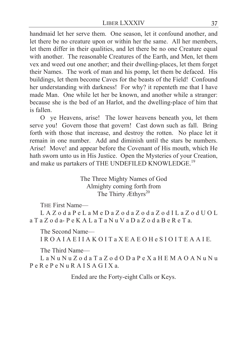handmaid let her serve them. One season, let it confound another, and let there be no creature upon or within her the same. All her members, let them differ in their qualities, and let there be no one Creature equal with another. The reasonable Creatures of the Earth, and Men, let them vex and weed out one another; and their dwelling-places, let them forget their Names. The work of man and his pomp, let them be defaced. His buildings, let them become Caves for the beasts of the Field! Confound her understanding with darkness! For why? it repenteth me that I have made Man. One while let her be known, and another while a stranger: because she is the bed of an Harlot, and the dwelling-place of him that is fallen.

O ye Heavens, arise! The lower heavens beneath you, let them serve you! Govern those that govern! Cast down such as fall. Bring forth with those that increase, and destroy the rotten. No place let it remain in one number. Add and diminish until the stars be numbers. Arise! Move! and appear before the Covenant of His mouth, which He hath sworn unto us in His Justice. Open the Mysteries of your Creation, and make us partakers of THE UNDEFILED KNOWLEDGE.<sup>19</sup>

> The Three Mighty Names of God Almighty coming forth from The Thirty  $\mathcal{E}$ thyrs<sup>20</sup>

THE First Name-

L A Z o d a P e L a M e D a Z o d a Z o d a Z o d I L a Z o d U O L a T a Z o d a- P e K A L a T a N u V a D a Z o d a B e R e T a.

The Second Name—

I R O A I A E I I A K O I T a X E A E O H e S I O I T E A A I E.

The Third Name—

L a N u N u Z o d a T a Z o d O D a P e X a H E M A O A N u N u P e R e P e N u R A I S A G I X a.

Ended are the Forty-eight Calls or Keys.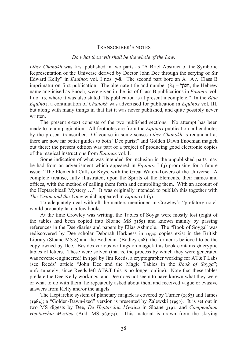#### TRANSCRIBER'S NOTES

#### *Do what thou wilt shall be the whole of the Law.*

*Liber Chanokh* was first published in two parts as "A Brief Abstract of the Symbolic Representation of the Universe derived by Doctor John Dee through the scrying of Sir Edward Kelly" in *Equinox* vol. I nos. 7-8. The second part bore an A:A: Class B imprimatur on first publication. The alternate title and number  $(84 = 7)$ הברך, the Hebrew name anglicised as Enoch) were given in the list of Class B publications in *Equinox* vol. I no. 10, where it was also stated "Its publication is at present incomplete." In the *Blue Equinox*, a continuation of *Chanokh* was advertised for publication in *Equinox* vol. III, but along with many things in that list it was never published, and quite possibly never written.

The present e-text consists of the two published sections. No attempt has been made to retain pagination. All footnotes are from the *Equinox* publication; all endnotes by the present transcriber. Of course in some senses *Liber Chanokh* is redundant as there are now far better guides to both "Dee purist" and Golden Dawn Enochian magick out there; the present edition was part of a project of producing good electronic copies of the magical instructions from *Equinox* vol. I.

Some indication of what was intended for inclusion in the unpublished parts may be had from an advertisment which appeared in *Equinox* I (3) promising for a future issue: "The Elemental Calls or Keys, with the Great Watch-Towers of the Universe. A complete treatise, fully illustrated, upon the Spirits of the Elements, their names and offices, with the method of calling them forth and controlling them. With an account of the Heptarchicall Mystery  $\ldots$ " It was originally intended to publish this together with *The Vision and the Voice* which appeared in *Equinox* I (5).

To adequately deal with all the matters mentioned in Crowley's "prefatory note" would probably take a few books.

At the time Crowley was writing, the Tables of Soyga were mostly lost (eight of the tables had been copied into Sloane MS 3189) and known mainly by passing references in the Dee diaries and papers by Elias Ashmole. The "Book of Soyga" was rediscovered by Dee scholar Deborah Harkness in 1994; copies exist in the British Library (Sloane MS 8) and the Bodleian (Bodley 908); the former is believed to be the copy owned by Dee. Besides various writings on magick this book contains 36 cryptic tables of letters. These were solved (that is, the process by which they were generated was reverse-engineered) in 1998 by Jim Reeds, a cryptographer working for AT&T Labs (see Reeds<sup>'</sup> article "John Dee and the Magic Tables in the *Book of Soyga*"; unfortunately, since Reeds left AT&T this is no longer online). Note that these tables predate the Dee-Kelly workings, and Dee does not seem to have known what they were or what to do with them: he repeatedly asked about them and received vague or evasive answers from Kelly and/or the angels.

The Heptarchic system of planetary magick is covered by Turner (1983) and James  $(1984)$ ; a "Golden-Dawn-ized" version is presented by Zalewski (1990). It is set out in two MS digests by Dee, *De Heptarchia Mystica* in Sloane 3191, and *Compendium Heptarchia Mystica* (Add. MS 36,674). This material is drawn from the skrying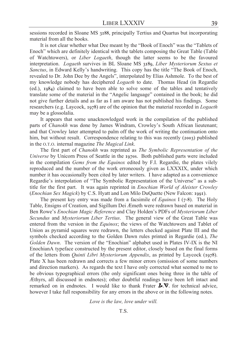sessions recorded in Sloane MS 3188, principally Tertius and Quartus but incorporating material from all the books.

It is not clear whether what Dee meant by the "Book of Enoch" was the "Tablets of Enoch<sup>"</sup> which are definitely identical with the tablets composing the Great Table (Table of Watchtowers), or *Liber Logaeth*, though the latter seems to be the favoured interpretation. *Logaeth* survives in BL Sloane MS 3189, *Liber Mysteriorum Sextus et Sanctus*, in Edward Kelly's handwriting. This copy has the title "The Book of Enoch, revealed to Dr. John Dee by the Angels", interpolated by Elias Ashmole. To the best of my knowledge nobody has deciphered *Logaeth* to date. Thomas Head (in Regardie (ed.), 1984) claimed to have been able to solve some of the tables and tentatively translate some of the material in the "Angelic language" contained in the book; he did not give further details and as far as I am aware has not published his findings. Some researchers (e.g. Laycock, 1978) are of the opinion that the material recorded in *Logaeth* may be a glossolalia.

It appears that some unacknowledged work in the compilation of the published parts of *Chanokh* was done by James Windram, Crowley's South African lieutenant; and that Crowley later attempted to palm off the work of writing the continuation onto him, but without result. Correspondence relating to this was recently (2003) published in the O.T.O. internal magazine *The Magical Link*.

The first part of *Chanokh* was reprinted as *The Symbolic Representation of the Universe* by Unicorn Press of Seattle in the 1970s. Both published parts were included in the compilation *Gems from the Equinox* edited by F.I. Regardie, the plates vilely reproduced and the number of the work erroneously given as LXXXIX, under which number it has occasionally been cited by later writers. I have adapted as a convenience Regardie's interpolation of "The Symbolic Representation of the Universe" as a subtitle for the first part. It was again reprinted in *Enochian World of Aleister Crowley* (*Enochian Sex Magick*) by C.S. Hyatt and Lon Milo DuQuette (New Falcon: 1991).

The present key entry was made from a facsimile of *Equinox* I (7-8). The Holy Table, Ensigns of Creation, and Sigillum Dei Æmeth were redrawn based on material in Ben Rowe's *Enochian Magic Reference* and Clay Holden's PDFs of *Mysteriorum Liber Secundus* and *Mysteriorum Liber Tertius*. The general view of the Great Table was entered from the version in the *Equinox*; the views of the Watchtowers and Tablet of Union as pyramid squares were redrawn, the letters checked against Plate III and the symbols checked according to the Golden Dawn rules printed in Regardie (ed.), *The Golden Dawn*. The version of the "Enochian" alphabet used in Plates IV-IX is the NI EnochianA typeface constructed by the present editor, closely based on the final forms of the letters from *Quinti Libri Mysteriorum Appendix*, as printed by Laycock (1978). Plate X has been redrawn and corrects a few minor errors (omission of some numbers and direction markers). As regards the text I have only corrected what seemed to me to be obvious typographical errors (the only significant ones being three in the table of Æthyrs, all discussed in endnotes); other doubtful readings have been left intact and remarked on in endnotes. I would like to thank Frater  $\Delta \mathbf{V}$ . for technical advice, however I take full responsibility for any errors in the above or in the following notes.

*Love is the law, love under will.*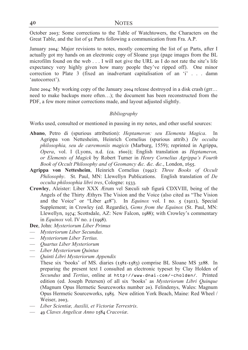October 2003: Some corrections to the Table of Watchtowers, the Characters on the Great Table, and the list of 91 Parts following a communication from Fra. A.P.

January 2004: Major revisions to notes, mostly concerning the list of 91 Parts, after I actually got my hands on an electronic copy of Sloane 3191 (page images from the BL microfilm found on the web  $\ldots$  I will not give the URL as I do not rate the site's life expectancy very highly given how many people they've ripped off). One minor correction to Plate 3 (fixed an inadvertant capitalisation of an  $i^*$  ... damn 'autocorrect').

June 2004: My working copy of the January 2004 release destroyed in a disk crash (grr... need to make backups more often...); the document has been reconstructed from the PDF, a few more minor corrections made, and layout adjusted slightly.

#### *Bibliography*

Works used, consulted or mentioned in passing in my notes, and other useful sources:

- **Abano**, Petro di (spurious attribution): *Heptameron: seu Elementa Magica*. In Agrippa von Nettesheim, Heinrich Cornelius (spurious attrib.) *De occulta philosophia, seu de cæremoniis magicis* (Marburg, 1559); reprinted in Agrippa, *Opera*, vol. I (Lyons, n.d. (ca. 1600)); English translation as *Heptameron, or Elements of Magick* by Robert Turner in *Henry Cornelius Agrippa's Fourth Book of Occult Philosophy and of Geomancy &c. &c. &c.*, London, 1655.
- **Agrippa von Nettesheim**, Heinrich Cornelius (1992): *Three Books of Occult Philosophy*. St. Paul, MN: Llewellyn Publications. English translation of *De occulta philosophia libri tres*, Cologne: 1533.
- **Crowley**, Aleister: Liber XXX Ærum vel Sæculi sub figurâ CDXVIII, being of the Angels of the Thirty Æthyrs The Vision and the Voice (also cited as "The Vision" and the Voice" or "Liber  $418$ "). In *Equinox* vol. I no. 5 (1911), Special Supplement; in Crowley (ed. Regardie), *Gems from the Equinox* (St. Paul, MN: Llewellyn, 1974; Scottsdale, AZ: New Falcon, 1988); with Crowley's commentary in *Equinox* vol. IV no. 2 (1998).
- **Dee**, John: *Mysteriorum Liber Primus*
- ó *Mysteriorum Liber Secundus.*
- *Mysteriorum Liber Tertius.*
- ó *Quartus Liber Mysteriorum*
- ó *Liber Mysteriorum Quintus*
- ó *Quinti Libri Mysteriorum Appendix*
- These six 'books' of MS. diaries  $(1581 1583)$  comprise BL Sloane MS 3188. In preparing the present text I consulted an electronic typeset by Clay Holden of *Secundus* and *Tertius*, online at http://www.dnai.com/~cholden/. Printed edition (ed. Joseph Petersen) of all six 'books' as *Mysteriorum Libri Quinque* (Magnum Opus Hermetic Sourceworks number 20). Felindenys, Wales: Magnum Opus Hermetic Sourceworks, 1985. New edition York Beach, Maine: Red Wheel / Weiser, 2003.
- ó *Liber Scientiæ, Auxilii, et Victoriæ Terrestris*.
- ó 49 *Claves Angelicæ Anno* 1584 *Cracoviæ*.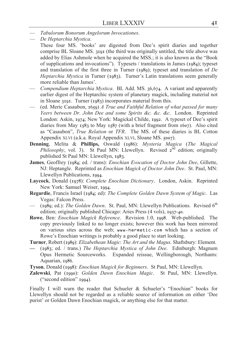- ó *Tabulorum Bonorum Angelorum Invocationes*.
- ó *De Heptarchia Mystica*.
- These four MS. 'books' are digested from Dee's spirit diaries and together comprise BL Sloane MS. 3191 (the third was originally untitled, the title above was added by Elias Ashmole when he acquired the MSS.; it is also known as the "Book" of supplications and invocationsî). Typesets / translations in James (1984); typeset and translation of the first three in Turner (1989); typeset and translation of *De Heptarchia Mystica* in Turner (1983). Turner's Latin translations seem generally more reliable than James'.
- ó *Compendium Heptarchia Mystica*. BL Add. MS. 36,674. A variant and apparently earlier digest of the Heptarchic system of planetary magick, including material not in Sloane 3191. Turner (1983) incorporates material from this.
- ó (ed. Meric Casaubon, 1659) *A True and Faithful Relation of what passed for many Yeers between Dr. John Dee and some Spirits &c. &c. &c*. London. Reprinted London: Askin, 1974; New York: Magickal Childe, 1992. A typeset of Dee's spirit diaries from May 1583 to May 1587 (with a brief fragment from 1607). Also cited as "Casaubon", *True Relation* or *TFR*. The MS. of these diaries is BL Cotton Appendix XLVI (a.k.a. Royal Appendix XLVI, Sloane MS. 5007).
- **Denning**, Melita & **Phillips,** Oswald (1986): *Mysteria Magica* (*The Magical*  Philosophy, vol. 3). St Paul MN: Llewellyn. Revised 2<sup>nd</sup> edition; originally published St Paul MN: Llewellyn, 1983.
- **James**, Geoffrey (1984; ed. / trans): *Enochian Evocation of Doctor John Dee*, Gillette, NJ: Heptangle. Reprinted as *Enochian Magick of Doctor John Dee*. St. Paul, MN: Llewellyn Publications, 1994.
- **Laycock**, Donald (1978): *Complete Enochian Dictionary*. London, Askin. Reprinted New York: Samuel Weiser, 1994.
- **Regardie**, Francis Israel (1984; ed): *The Complete Golden Dawn System of Magic*. Las Vegas: Falcon Press.
- ó (1989; ed.): *The Golden Dawn*. St. Paul, MN: Llewellyn Publications. Revised 6th edition; originally published Chicago: Aries Press (4 vols), 1937-40.
- **Rowe**, Ben: *Enochian Magick Reference*. Revision 1.0, 1998. Web-published. The copy previously linked to no longer exists; however this work has been mirrored on various sites across the web; www.hermetic.com which has a section of Rowe's Enochian writings is probably a good place to start looking.
- **Turner**, Robert (1989): *Elizabethean Magic*: *The Art and the Magus*. Shaftsbury: Element.
- **—** (1983; ed. / trans.) *The Heptarchia Mystica of John Dee*. Edinburgh: Magnum Opus Hermetic Sourceworks. Expanded reissue, Wellingborough, Northants: Aquarian, 1986.
- **Tyson**, Donald (1998): *Enochian Magick for Beginners*. St Paul, MN: Llewellyn.
- **Zalewski**, Pat (1990): *Golden Dawn Enochian Magic*. St Paul, MN: Llewellyn.  $("second edition" 1994).$

Finally I will warn the reader that Schueler  $\&$  Schueler's "Enochian" books for Llewellyn should not be regarded as a reliable source of information on either 'Dee purist' or Golden Dawn Enochian magick, or anything else for that matter.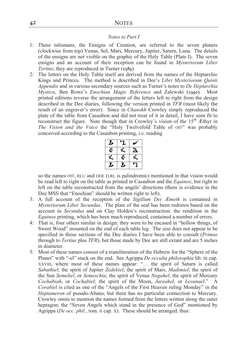#### *Notes to Part I*

- 1: These talismans, the Ensigns of Creation, are referred to the seven planets (clockwise from top) Venus, Sol, Mars, Mercury, Jupiter, Saturn, Luna. The details of the ensigns are not visible on the graphic of the Holy Table (Plate I). The seven ensigns and an account of their reception can be found in *Mysteriorum Liber Tertius*; they are reproduced in Turner (1989).
- 2: The letters on the Holy Table itself are derived from the names of the Heptarchic Kings and Princes. The method is described in Dee's *Libri Mysteriorum Quinti Appendix* and in various secondary sources such as Turner's notes to *De Heptarchia Mystica*, Ben Rowe's *Enochian Magic Reference* and Zalewski (1990). Most printed editions reverse the arrangement of the letters left to right from the design described in the Dee diaries, following the version printed in *TFR* (most likely the result of an engraver's error). Since in *Chanokh* Crowley simply reproduced the plate of the table from Casaubon and did not treat of it in detail, I have seen fit to reconstruct the figure. Note though that in Crowley's vision of the 15<sup>th</sup> Æthyr in *The Vision and the Voice* the "Holy Twelvefold Table of OIT" was probably conceived according to the Casaubon printing, *i.e.* reading

| "∕                    | 7 |    |
|-----------------------|---|----|
| $\boldsymbol{\delta}$ |   | A  |
| L.                    | δ | ď. |
|                       |   |    |

 so the names OIT, RLU and OOE (LRL is palindromic) mentioned in that vision would be read left to right on the table as printed in Casaubon and the *Equinox*, but right to left on the table reconstructed from the angels' directions (there is evidence in the Dee MSS that "Enochian" should be written right to left).

- 3: A full account of the reception of the *Sigillum Dei Æmeth* is contained in *Mysteriorum Liber Secundus*. The plate of the seal has been redrawn based on the account in *Secundus* and on Clay Holden's reconstruction: the rendition in the *Equinox* printing, which has been much reproduced, contained a number of errors.
- 4: That is, four others similar in design; they were to be encased in "hollow things, of Sweet Wood" mounted on the end of each table leg. The size does not appear to be specified in those sections of the Dee diaries I have been able to consult (*Primus* through to *Tertius* plus *TFR*), but those made by Dee are still extant and are 5 inches in diameter.
- 5: Most of these names consist of a transliteration of the Hebrew for the "Sphere of the Planet" with "-el" stuck on the end. See Agrippa *De occulta philosophia* lib. III cap. XXVIII, where most of these names appear: "... the spirit of Saturn is called *Sabathiel*; the spirit of Jupiter *Zedekiel*; the spirit of Mars, *Madimiel*; the spirit of the Sun *Semeliel*, or *Semeschia*; the spirit of Venus *Nogahel*; the spirit of Mercury *Cochabiah*, or *Cochabiel*; the spirit of the Moon, *Jareahel*, or *Levanael*.î A *Corabiel* is cited as one of the "Angels of the First Heaven ruling Monday" in the *Heptameron* of pseudo-Abano, but there has no particular connection to Mercury. Crowley omits to mention the names formed from the letters written along the outer heptagon; the "Seven Angels which stand in the presence of God" mentioned by Agrippa (*De occ. phil.*, tom. II cap. X). These should be arranged, thus: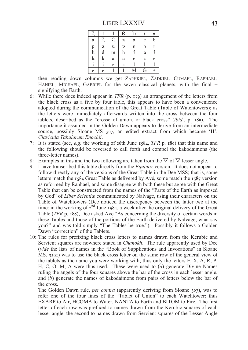|                |                |                         | ${\bf R}$      | h              |                | a              |
|----------------|----------------|-------------------------|----------------|----------------|----------------|----------------|
| $\mathbf a$    |                | $\overline{\mathsf{C}}$ | $\mathbf{a}$   | $\bf a$        | $\mathbb C$    | b              |
| p              | $\mathbf{a}$   | u                       | p              | $\mathfrak n$  | h              | r              |
| h              | d              | m                       | h              |                | $\mathbf{a}$   |                |
| k              | k              | $\mathbf{a}$            | a              | $\mathfrak{e}$ | $\mathfrak{C}$ | $\mathfrak{C}$ |
|                |                | $\mathfrak{e}$          | $\mathfrak{e}$ |                |                |                |
| $\mathfrak{C}$ | $\mathfrak{C}$ |                         |                | M              | G              |                |

then reading down columns we get ZAPHKIEL, ZADKIEL, CUMAEL, RAPHAEL, HANIEL, MICHAEL, GABRIEL for the seven classical planets, with the final + signifying the Earth.

- 6: While there does indeed appear in *TFR* (p. 179) an arrangement of the letters from the black cross as a five by four table, this appears to have been a convenience adopted during the communication of the Great Table (Table of Watchtowers); as the letters were immediately afterwards written into the cross between the four tablets, described as the "crosse of union, or black cross" *(ibid.*, p. 180). The importance it assumed in the Golden Dawn appears to derive from an intermediate source, possibly Sloane MS  $307$ , an edited extract from which became 'H', *Clavicula Tabularum Enochii*.
- 7: It is stated (see, *e.g.* the working of 26th June 1584, *TFR* p. 180) that this name and the following should be reversed to call forth and compel the kakodaimons (the three-letter names).
- 8: Examples in this and the two following are taken from the  $\nabla$  of  $\nabla$  lesser angle.
- 9: I have transcribed this table directly from the *Equinox* version. It does not appear to follow directly any of the versions of the Great Table in the Dee MSS; that is, some letters match the 1584 Great Table as delivered by Avé, some match the 1587 version as reformed by Raphael, and some disagree with both these but agree with the Great Table that can be constructed from the names of the "Parts of the Earth as imposed by God" of *Liber Scientice* communicated by Nalvage, using their characters on the Table of Watchtowers (Dee noticed the discrepency between the latter two at the time: in the working of  $2<sup>nd</sup>$  June 1584, a week after the original delivery of the Great Table (*TFR* p. 188), Dee asked Ave "As concerning the diversity of certain words in these Tables and those of the portions of the Earth delivered by Nalvage, what say you?" and was told simply "The Tables be true."). Possibly it follows a Golden Dawn "correction" of the Tablets.
- 10: The rules for prefixing black cross letters to names drawn from the Kerubic and Servient squares are nowhere stated in *Chanokh*. The rule apparently used by Dee (*vide* the lists of names in the "Book of Supplications and Invocations" in Sloane MS. 3191) was to use the black cross letter on the same row of the general view of the tablets as the name you were working with; thus only the letters E, X, A, R, P, H, C, O, M, A were thus used. These were used to (*a*) generate Divine Names ruling the angels of the four squares above the bar of the cross in each lesser angle, and (*b*) generate the names of kakodaimons from pairs of letters below the bar of the cross.

The Golden Dawn rule, *per contra* (apparently deriving from Sloane 307), was to refer one of the four lines of the "Tablet of Union" to each Watchtower; thus EXARP to Air, HCOMA to Water, NANTA to Earth and BITOM to Fire. The first letter of each row was prefixed to names drawn from the Kerubic squares of each lesser angle, the second to names drawn from Servient squares of the Lesser Angle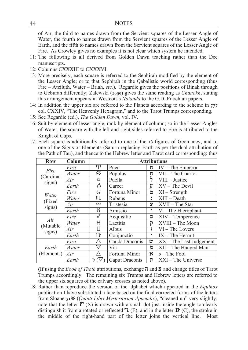of Air, the third to names drawn from the Servient squares of the Lesser Angle of Water, the fourth to names drawn from the Servient squares of the Lesser Angle of Earth, and the fifth to names drawn from the Servient squares of the Lesser Angle of Fire. As Crowley gives no examples it is not clear which system he intended.

- 11: The following is all derived from Golden Dawn teaching rather than the Dee manuscripts.
- 12: Columns CXXXIII to CXXXVI.
- 13: More precisely, each square is referred to the Sephirah modified by the element of the Lesser Angle; or to that Sephirah in the Qabalistic world corresponding (thus Fire – Atziluth, Water – Briah, *etc.*). Regardie gives the positions of Binah through to Geburah differently; Zalewski (1990) gives the same reading as *Chanokh*, stating this arrangement appears in Westcott's *Notanda* to the G.D. Enochian papers.
- 14: In addition the upper six are referred to the Planets according to the scheme in 777 col. CXXIV, "The Heavenly Hexagram," and to the Tarot Trumps corresponding.
- 15: See Regardie (ed.), *The Golden Dawn*, vol. IV.
- 16: Suit by element of lesser angle, rank by element of column; so in the Lesser Angles of Water, the square with the left and right sides referred to Fire is attributed to the Knight of Cups.
- 17: Each square is additionally referred to one of the 16 figures of Geomancy, and to one of the Signs or Elements (Saturn replacing Earth as per the dual attribution of the Path of Tau), and thence to the Hebrew letter and Tarot card corresponding: thus

| <b>Row</b> | Column | <b>Attributions</b> |                |                          |                           |
|------------|--------|---------------------|----------------|--------------------------|---------------------------|
| Fire       | Fire   | ႁ                   | Puer           | $\overline{\phantom{a}}$ | $IV$ – The Emperor        |
| (Cardinal  | Water  | ♋                   | Populus        | $\overline{\Pi}$         | $VII$ – The Chariot       |
| signs)     | Air    | ᅀ                   | Puella         |                          | VIII – Justice            |
|            | Earth  | Y3                  | Carcer         | V                        | $XV$ – The Devil          |
| Water      | Fire   | ନ                   | Fortuna Minor  | Ľ                        | $XI - Strength$           |
| (Fixed     | Water  | M                   | Rubeus         | J.                       | $XIII - Death$            |
| signs)     | Air    | $\approx$           | Tristesia      | $\mathbf{x}$             | $XVII$ – The Star         |
|            | Earth  | ୪                   | Amissio        | ٦                        | $V$ – The Hierophant      |
| Air        | Fire   | $\chi^{\!\pi}$      | Acquisitio     | Þ                        | $XIV - Temperature$       |
| (Mutable   | Water  | $\mathcal{H}$       | Laetitia       | כו                       | XVIII - The Moon          |
| signs)     | Air    | $\mathbb I$         | Albus          | ۲                        | $VI$ – The Lovers         |
|            | Earth  | M                   | Conjunctio     | ٠                        | $IX$ – The Hermit         |
|            | Fire   |                     | Cauda Draconis | ש                        | $XX$ – The Last Judgement |
| Earth      | Water  |                     | Via            | D                        | $XII$ – The Hanged Man    |
| (Elements) | Air    | А                   | Fortuna Minor  | $\aleph$                 | o - The Fool              |
|            | Earth  | 5(8)                | Caput Draconis | $\overline{\mathbf{L}}$  | XXI - The Universe        |

**(If using the** *Book of Thoth* **attributions, exchange**  $\bar{\mathbf{n}}$  **and**  $\hat{\mathbf{x}}$  **and change titles of Tarot** Trumps accordingly. The remaining six Trumps and Hebrew letters are referred to the upper six squares of the calvary crosses as noted above).

18: Rather than reproduce the version of the alphabet which appeared in the *Equinox* publication I have substituted a face based on the final corrected forms of the letters from Sloane 3188 (*Quinti Libri Mysteriorum Appendix*), "cleaned up" very slightly; note that the letter  $\mathbf{\Gamma}$  (X) is drawn with a small dot just inside the angle to clearly distinguish it from a rotated or reflected  $\mathbf{7}$  (E), and in the letter  $\mathbf{R}$  (C), the stroke in the middle of the right-hand part of the letter joins the vertical line. Most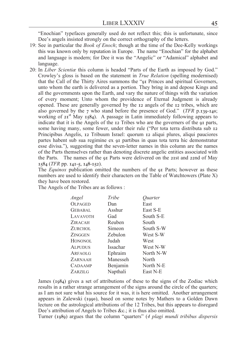ìEnochianî typefaces generally used do not reflect this; this is unfortunate, since Dee's angels insisted strongly on the correct orthography of the letters.

- 19: See in particular the *Book of Enoch*; though at the time of the Dee-Kelly workings this was known only by reputation in Europe. The name "Enochian" for the alphabet and language is modern; for Dee it was the "Angelic" or "Adamical" alphabet and language.
- 20: In *Liber Scientice* this column is headed "Parts of the Earth as imposed by God." Crowley's gloss is based on the statement in *True Relation* (spelling modernised) that the Call of the Thirty Aires summons the "91 Princes and spiritual Governers, unto whom the earth is delivered as a portion. They bring in and depose Kings and all the governments upon the Earth, and vary the nature of things with the variation of every moment; Unto whom the providence of Eternal Judgment is already opened. These are generally governed by the 12 angels of the 12 tribes, which are also governed by the 7 who stand before the presence of God." (*TFR* p.139-140; working of  $2r^{st}$  May 1584). A passage in Latin immediately following appears to indicate that it is the Angels of the 12 Tribes who are the governers of the 91 parts, some having many, some fewer, under their rule ("Per tota terra distributa sub 12 Principibus Angelis, 12 Tribuum Israel: quorum 12 aliqui plures, aliqui pauciores partes habent sub sua regimine ex 91 partibus in quas tota terra hic demonstratur esse divisa."), suggesting that the seven-letter names in this column are the names of the Parts themselves rather than denoting discrete angelic entities associated with the Parts. The names of the 91 Parts were delivered on the 21st and 22nd of May 1584 (*TFR* pp. 141-5, 148-152).

The *Equinox* publication omitted the numbers of the 91 Parts; however as these numbers are used to identify their characters on the Table of Watchtowers (Plate X) they have been restored.

The Angels of the Tribes are as follows :

| Angel          | Tribe    | Quarter   |
|----------------|----------|-----------|
| <b>OLPAGED</b> | Dan      | East      |
| <b>GEBABAL</b> | Asshur   | East S-E  |
| LAVAVOTH       | Gad      | South S-E |
| <b>ZIRACAH</b> | Reuben   | South     |
| <b>ZURCHOL</b> | Simeon   | South S-W |
| <b>ZINGGEN</b> | Zebulon  | West S-W  |
| <b>HONONOL</b> | Judah    | West      |
| <b>ALPUDUS</b> | Issachar | West N-W  |
| <b>ARFAOLG</b> | Ephraim  | North N-W |
| <b>ZARNAAH</b> | Manesseh | North     |
| <b>CADAAMP</b> | Benjamin | North N-E |
| ZARZILG        | Napthali | East N-E  |
|                |          |           |

 James (1984) gives a set of attributions of these to the signs of the Zodiac which results in a rather strange arrangement of the signs around the circle of the quarters; as I am not sure what his source for it was, it is here omitted. Another arrangement appears in Zalewski (1990), based on some notes by Mathers to a Golden Dawn lecture on the astrological attributions of the 12 Tribes, but this appears to disregard Dee's attribution of Angels to Tribes &c.; it is thus also omitted.

Turner (1989) argues that the column "quarters" (4 plagi mundi tribibus dispersis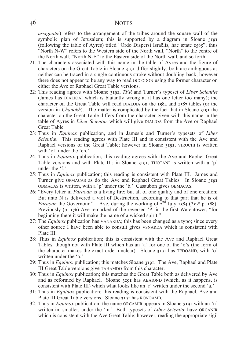*assignatæ*) refers to the arrangement of the tribes around the square wall of the symbolic plan of Jerusalem; this is supported by a diagram in Sloane 3191 (following the table of Ayres) titled "Ordo Dispersi Israëlis, hac ætate  $1585$ "; thus "North N-W" refers to the Western side of the North wall, "North" to the centre of the North wall, "North N-E" to the Eastern side of the North wall, and so forth.

- 21: The characters associated with this name in the table of Ayres and the figure of characters on the Great Table in Sloane 3191 differ slightly; both are ambiguous as neither can be traced in a single continuous stroke without doubling-back; however there does not appear to be any way to read OCCODON using the former character on either the Ave or Raphael Great Table versions.
- 22: This reading agrees with Sloane 3191, *TFR* and Turner's typeset of *Liber Scientice* (James has DIALIOAI which is blatantly wrong at it has one letter too many); the character on the Great Table will read DIALOIA on the 1584 and 1587 tables (or the version in *Chanokh*). The matter is complicated by the fact that in Sloane 3191 the character on the Great Table differs from the character given with this name in the table of Ayres in *Liber Scientiæ* which will give DIALIOA from the Ave or Raphael Great Table.
- 23: Thus in *Equinox* publication, and in James's and Turner's typesets of *Liber Scientiæ*. This reading agrees with Plate III and is consistent with the Ave and Raphael versions of the Great Table; however in Sloane 3191, VIROCHI is written with 'ol' under the 'ch.'
- 24: Thus in *Equinox* publication; this reading agrees with the Ave and Raphel Great Table versions and with Plate III; in Sloane  $3191$ , THOTANF is written with a 'p' under the 'f.'
- 25: Thus in *Equinox* publication; this reading is consistent with Plate III. James and Turner give OPMACAS as do the Ave and Raphael Great Tables. In Sloane 3191 OBMACAS is written, with a 'p' under the 'b.' Casaubon gives OBMACAS.
- 26: "Every letter in *Paraoan* is a living fire; but all of one quality and of one creation; But unto N is delivered a viol of Destruction, according to that part that he is of *Paraoan* the Governour." – Ave, during the working of  $2^{nd}$  July  $1584$  (*TFR* p. 188). Previously (p. 176) Ave remarked of the reversed  $\hat{P}$  in the first Watchtower, "for beginning there it will make the name of a wicked spirit."
- 27: The *Equinox* publication has VANARDA; this has been changed as a typo; since every other source I have been able to consult gives VSNARDA which is consistent with Plate III.
- 28: Thus in *Equinox* publication; this is consistent with the Ave and Raphael Great Tables, though not with Plate III which has an 'a' for one of the 'o's (the form of the character makes the exact order unclear). Sloane 3191 has TEDOAND, with 'o' written under the 'a.'
- 29: Thus in *Equinox* publication; this matches Sloane 3191. The Ave, Raphael and Plate III Great Table versions give TAHAMDO from this character.
- 30: Thus in *Equinox* publication; this matches the Great Table both as delivered by Ave and as reformed by Raphael. Sloane 3191 has ABAIOND (which, as it happens, is consistent with Plate III) which what looks like an 'r' written under the second 'a.'
- 31: Thus in *Equinox* publication; this reading is consistent with the Raphael, Ave and Plate III Great Table versions. Sloane 3191 has RONOAMB.
- 32: Thus in *Equinox* publication; the name ORCAMIR appears in Sloane 3191 with an 'n' written in, smaller, under the 'm.' Both typesets of *Liber Scientice* have ORCANIR which is consistent with the Ave Great Table; however, reading the appropriate sigil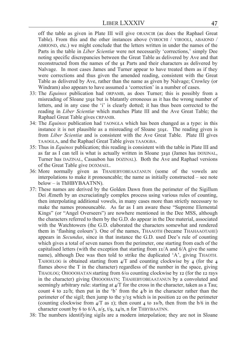off the table as given in Plate III will give ORANCIR (as does the Raphael Great Table). From this and the other instances above (VIROCHI / VIROOLI, ABAIOND / ABRIOND, etc.) we might conclude that the letters written in under the names of the Parts in the table in *Liber Scientice* were not necessarily 'corrections,' simply Dee noting specific discrepancies between the Great Table as delivered by Ave and that reconstructed from the names of the 91 Parts and their characters as delivered by Nalvage. In most cases James and Turner appear to have treated them as if they were corrections and thus given the amended reading, consistent with the Great Table as delivered by Ave, rather than the name as given by Nalvage; Crowley (or Windram) also appears to have assumed a 'correction' in a number of cases.

- 33: The *Equinox* publication had ORPAMB, as does Turner; this is possibly from a misreading of Sloane 3191 but is blatantly erroneous as it has the wrong number of letters, and in any case the 'i' is clearly dotted; it has thus been corrected to the reading in *Liber Scientiæ* which matches Plate III and the Ave Great Table; the Raphael Great Table gives CRPANIB.
- 34: The *Equinox* publication had TAONGLA which has been changed as a typo: in this instance it is not plausible as a misreading of Sloane 3191. The reading given is from *Liber Scientiæ* and is consistent with the Ave Great Table. Plate III gives TAAOGLA, and the Raphael Great Table gives TAAOGBA.
- 35: Thus in *Equinox* publication; this reading is consistent with the table in Plate III and as far as I can tell is what is actually written in Sloane 3191 (James has DOXINAL, Turner has DAZINAL, Casaubon has DOZINAL). Both the Ave and Raphael versions of the Great Table give DOXMAEL.
- 36: More normally given as THAHEBYOBEAATANUN (some of the vowels are interpolations to make it pronouncable; the name as initially constructed  $-$  see note  $below - is ThHBYBAATNN.$
- 37: These names are derived by the Golden Dawn from the perimeter of the Sigillum Dei Æmeth by an excruciatingly complex process using various rules of counting, then interpolating additional vowels, in many cases more than strictly necessary to make the names pronouncable. As far as I am aware these "Supreme Elemental" Kings" (or "Angel Overseers") are nowhere mentioned in the Dee MSS, although the characters referred to them by the G.D. do appear in the Dee material, associated with the Watchtowers (the G.D. elaborated the characters somewhat and rendered them in 'flashing colours'). One of the names, THAAOTH (became THAHAAOTAHE) appears in *Secundus*, since in that instance the G.D. used Dee's rule of counting which gives a total of seven names from the perimeter, one starting from each of the capitalised letters (with the exception that starting from 11/A and 6/A give the same name), although Dee was then told to strike the duplicated 'A', giving THAOTH. TAHOELOG is obtained starting from 4/T and counting clockwise by 4 (for the 4 flames above the T in the character) regardless of the number in the space, giving THAOLOG; OHOOOHATAN starting from  $6/\omega$  counting clockwise by 12 (for the 12 rays in the character) giving OHOOOHATN; THAHEBYOBEAATANUN by a convoluted and seemingly arbitrary rule: starting at  $\frac{4}{T}$  for the cross in the character, taken as a Tau; count 4 to  $22/h$ ; then put in the 'b' from the  $4/b$  in the character rather than the perimeter of the sigil; then jump to the  $y/\tau_5$  which is in position 22 on the perimeter (counting clockwise from  $4/T$  as 1); then count 4 to 10/b, then from the b/6 in the character count by 6 to  $6/A$ ,  $a/5$ ,  $t/9$ ,  $t/1/10$ , n for THBYBAATNN.
- 38: The numbers identifying sigils are a modern interpolation; they are not in Sloane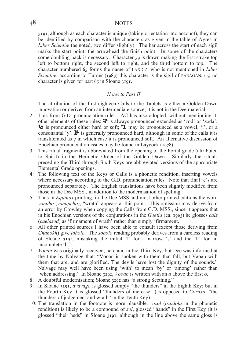3191, although as each character is unique (taking orientation into account), they can be identified by comparison with the characters as given in the table of Ayres in *Liber Scientiæ* (as noted, two differ slightly). The bar across the start of each sigil marks the start point; the arrowhead the finish point. In some of the characters some doubling-back is necessary. Character 59 is drawn making the first stroke top left to bottom right, the second left to right, and the third bottom to top. The character numbered 65 forms the name of LAXDIZI who is not mentioned in *Liber Scientiæ*; according to Turner (1989) this character is the sigil of PARAOAN, 65; no character is given for part 65 in Sloane 3191.

#### *Notes to Part II*

- 1: The attribution of the first eighteen Calls to the Tablets is either a Golden Dawn innovation or derives from an intermediate source; it is not in the Dee material.
- 2: This from G.D. pronunciation rules. AC has also adopted, without mentioning it, other elements of these rules:  $\mathbf P$  is always pronounced extended as 'zod' or 'zoda'; G is pronounced either hard or soft;  $\overline{\mathbf{L}}$  may be pronounced as a vowel, 'i', or a consonantal 'y'.  $\mathbf{F}$  is generally pronounced hard, although in some of the calls it is transliterated as  $\varsigma$  in which case it is pronounced soft. An alternative discussion of Enochian pronunciation issues may be found in Laycock (1978).
- 3: This ritual fragment is abbreviated from the opening of the Portal grade (attributed to Spirit) in the Hermetic Order of the Golden Dawn. Similarly the rituals preceding the Third through Sixth Keys are abbreviated versions of the appropriate Elemental Grade openings.
- 4: The following text of the Keys or Calls is a phonetic rendition, inserting vowels where necessary according to the G.D. pronunciation rules. Note that final  $\hat{e}$ 's are pronounced separately. The English translations have been slightly modified from those in the Dee MSS., in addition to the modernisation of spelling.
- 5: Thus in *Equinox* printing; in the Dee MSS and most other printed editions the word *vonpho* (*vonupeho*), "wrath" appears at this point. This omission may derive from an error by Crowley when copying the Calls from G.D. MSS., since it appears that in his Enochian versions of the conjurations in the *Goetia* (ca. 1903) he glosses *calz* (*caelazod*) as 'firmament of wrath' rather than simply 'firmament.'
- 6: All other printed sources I have been able to consult (except those deriving from *Chanokh*) give *loholo*. The *sobolo* reading probably derives from a careless reading of Sloane  $3191$ , mistaking the initial  $1'$  for a narrow 's' and the 'h' for an incomplete 'b.'
- 7: *Vooan* was originally received, here and in the Third Key, but Dee was informed at the time by Nalvage that: "Vooan is spoken with them that fall, but Vaoan with them that are, and are glorified. The devils have lost the dignity of the sounds." Nalvage may well have been using 'with' to mean 'by' or 'among' rather than 'when addressing.' In Sloane 3191, *Vooan* is written with an  $a$  above the first  $o$ .
- 8: A doubtful modernisation; Sloane 3191 has "a strong Seething."
- 9: In Sloane 3191, *avavago* is glossed simply "the thunders" in the Eighth Key; but in the Fourth Key it is glossed "thunders of increase" (as opposed to *Coraxo*, "the thunders of judgement and wrath" in the Tenth Key).
- 10: The translation in the footnote is more plausible. *ozol* (*ozodola* in the phonetic rendition) is likely to be a compound of *zol*, glossed "hands" in the First Key (it is glossed "their heds" in Sloane 3191, although in the line above the same gloss is